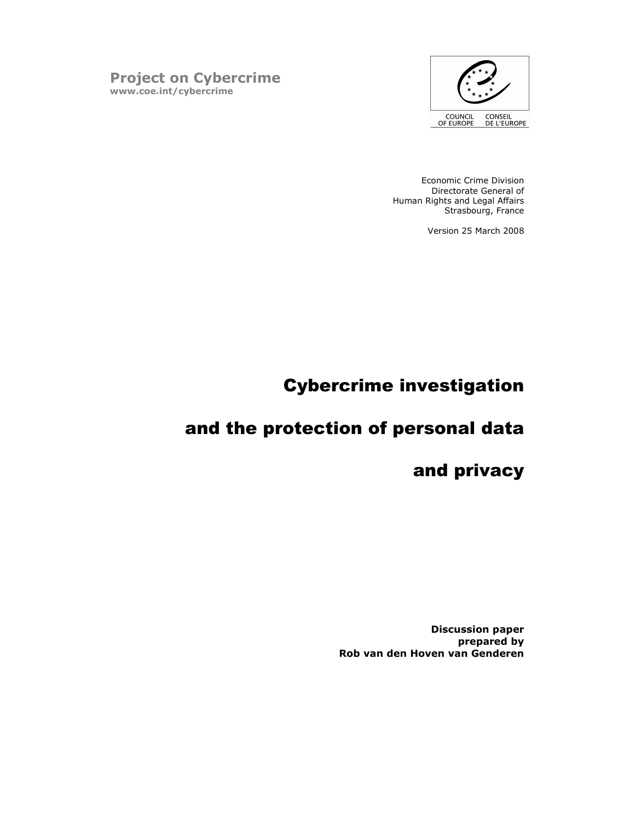Project on Cybercrime www.coe.int/cybercrime



Economic Crime Division Directorate General of Human Rights and Legal Affairs Strasbourg, France

Version 25 March 2008

Cybercrime investigation

# and the protection of personal data

and privacy

Discussion paper prepared by Rob van den Hoven van Genderen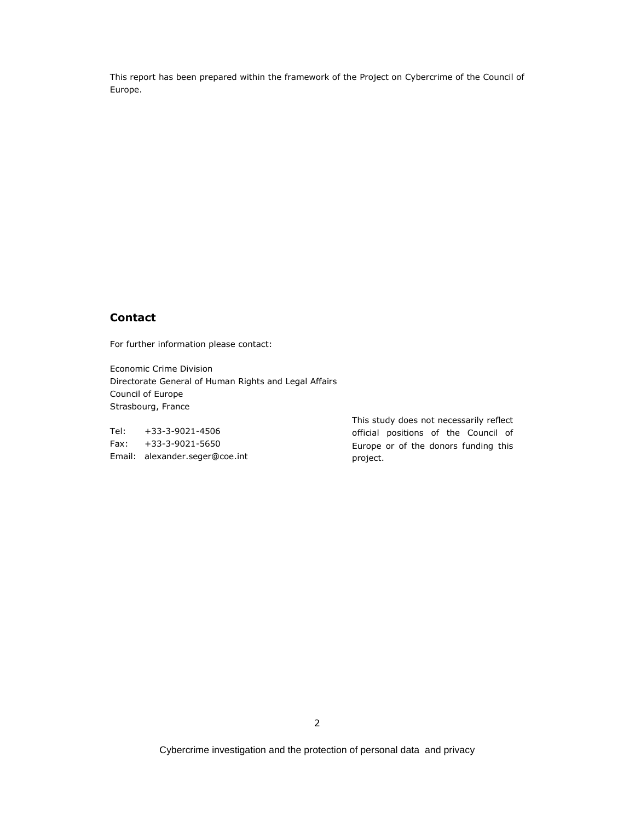This report has been prepared within the framework of the Project on Cybercrime of the Council of Europe.

### Contact

For further information please contact:

Economic Crime Division Directorate General of Human Rights and Legal Affairs Council of Europe Strasbourg, France

Tel: +33-3-9021-4506 Fax: +33-3-9021-5650 Email: alexander.seger@coe.int This study does not necessarily reflect official positions of the Council of Europe or of the donors funding this project.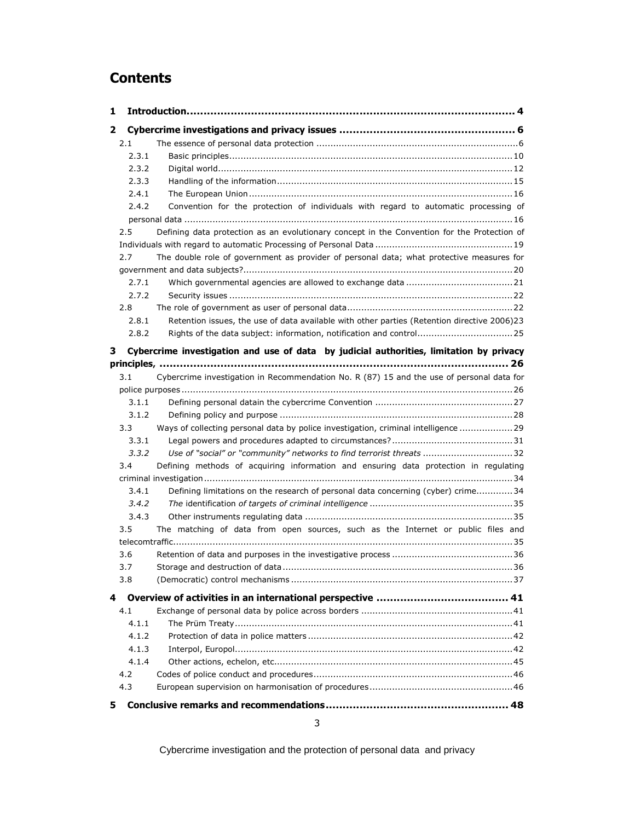# **Contents**

| 1 |       |                                                                                             |  |  |
|---|-------|---------------------------------------------------------------------------------------------|--|--|
| 2 |       |                                                                                             |  |  |
|   | 2.1   |                                                                                             |  |  |
|   | 2.3.1 |                                                                                             |  |  |
|   | 2.3.2 |                                                                                             |  |  |
|   | 2.3.3 |                                                                                             |  |  |
|   | 2.4.1 |                                                                                             |  |  |
|   | 2.4.2 | Convention for the protection of individuals with regard to automatic processing of         |  |  |
|   |       |                                                                                             |  |  |
|   | 2.5   | Defining data protection as an evolutionary concept in the Convention for the Protection of |  |  |
|   |       |                                                                                             |  |  |
|   | 2.7   | The double role of government as provider of personal data; what protective measures for    |  |  |
|   |       |                                                                                             |  |  |
|   | 2.7.1 |                                                                                             |  |  |
|   | 2.7.2 |                                                                                             |  |  |
|   | 2.8   |                                                                                             |  |  |
|   | 2.8.1 | Retention issues, the use of data available with other parties (Retention directive 2006)23 |  |  |
|   | 2.8.2 | Rights of the data subject: information, notification and control 25                        |  |  |
|   |       |                                                                                             |  |  |
| 3 |       | Cybercrime investigation and use of data by judicial authorities, limitation by privacy     |  |  |
|   |       |                                                                                             |  |  |
|   | 3.1   | Cybercrime investigation in Recommendation No. R (87) 15 and the use of personal data for   |  |  |
|   |       |                                                                                             |  |  |
|   | 3.1.1 |                                                                                             |  |  |
|   | 3.1.2 |                                                                                             |  |  |
|   | 3.3   | Ways of collecting personal data by police investigation, criminal intelligence 29          |  |  |
|   | 3.3.1 |                                                                                             |  |  |
|   | 3.3.2 | Use of "social" or "community" networks to find terrorist threats 32                        |  |  |
|   | 3.4   | Defining methods of acquiring information and ensuring data protection in regulating        |  |  |
|   |       |                                                                                             |  |  |
|   | 3.4.1 | Defining limitations on the research of personal data concerning (cyber) crime34            |  |  |
|   | 3.4.2 |                                                                                             |  |  |
|   | 3.4.3 |                                                                                             |  |  |
|   | 3.5   | The matching of data from open sources, such as the Internet or public files and            |  |  |
|   |       |                                                                                             |  |  |
|   | 3.6   |                                                                                             |  |  |
|   | 3.7   |                                                                                             |  |  |
|   | 3.8   |                                                                                             |  |  |
| 4 |       |                                                                                             |  |  |
|   | 4.1   |                                                                                             |  |  |
|   | 4.1.1 |                                                                                             |  |  |
|   | 4.1.2 |                                                                                             |  |  |
|   | 4.1.3 |                                                                                             |  |  |
|   | 4.1.4 |                                                                                             |  |  |
|   | 4.2   |                                                                                             |  |  |
|   | 4.3   |                                                                                             |  |  |
|   |       |                                                                                             |  |  |
| 5 |       |                                                                                             |  |  |

3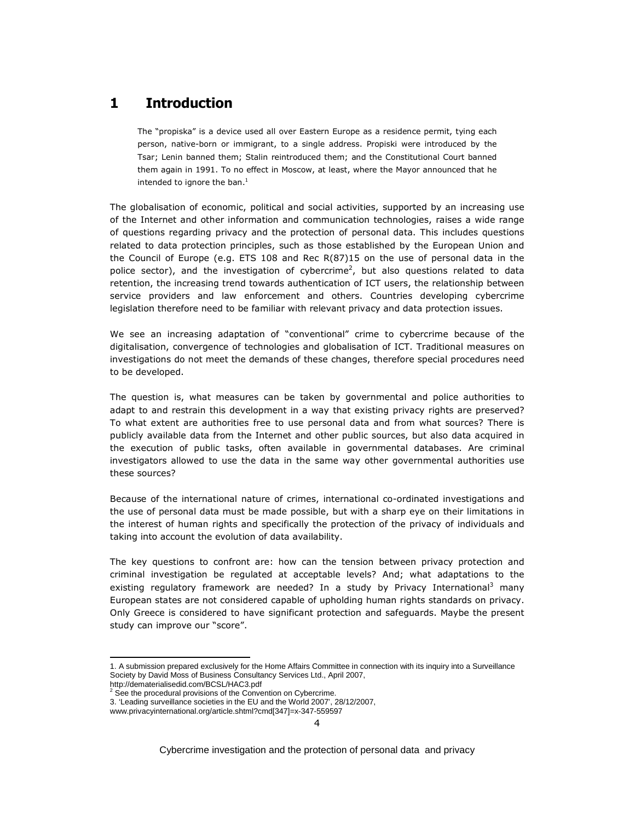# 1 Introduction

The "propiska" is a device used all over Eastern Europe as a residence permit, tying each person, native-born or immigrant, to a single address. Propiski were introduced by the Tsar; Lenin banned them; Stalin reintroduced them; and the Constitutional Court banned them again in 1991. To no effect in Moscow, at least, where the Mayor announced that he intended to ignore the ban. $<sup>1</sup>$ </sup>

The globalisation of economic, political and social activities, supported by an increasing use of the Internet and other information and communication technologies, raises a wide range of questions regarding privacy and the protection of personal data. This includes questions related to data protection principles, such as those established by the European Union and the Council of Europe (e.g. ETS 108 and Rec R(87)15 on the use of personal data in the police sector), and the investigation of cybercrime<sup>2</sup>, but also questions related to data retention, the increasing trend towards authentication of ICT users, the relationship between service providers and law enforcement and others. Countries developing cybercrime legislation therefore need to be familiar with relevant privacy and data protection issues.

We see an increasing adaptation of "conventional" crime to cybercrime because of the digitalisation, convergence of technologies and globalisation of ICT. Traditional measures on investigations do not meet the demands of these changes, therefore special procedures need to be developed.

The question is, what measures can be taken by governmental and police authorities to adapt to and restrain this development in a way that existing privacy rights are preserved? To what extent are authorities free to use personal data and from what sources? There is publicly available data from the Internet and other public sources, but also data acquired in the execution of public tasks, often available in governmental databases. Are criminal investigators allowed to use the data in the same way other governmental authorities use these sources?

Because of the international nature of crimes, international co-ordinated investigations and the use of personal data must be made possible, but with a sharp eye on their limitations in the interest of human rights and specifically the protection of the privacy of individuals and taking into account the evolution of data availability.

The key questions to confront are: how can the tension between privacy protection and criminal investigation be regulated at acceptable levels? And; what adaptations to the existing regulatory framework are needed? In a study by Privacy International<sup>3</sup> many European states are not considered capable of upholding human rights standards on privacy. Only Greece is considered to have significant protection and safeguards. Maybe the present study can improve our "score".

-

<sup>1.</sup> A submission prepared exclusively for the Home Affairs Committee in connection with its inquiry into a Surveillance Society by David Moss of Business Consultancy Services Ltd., April 2007,

http://dematerialisedid.com/BCSL/HAC3.pdf<br><sup>2</sup> See the procedural provisions of the Convention on Cybercrime.

<sup>3. &#</sup>x27;Leading surveillance societies in the EU and the World 2007', 28/12/2007,

www.privacyinternational.org/article.shtml?cmd[347]=x-347-559597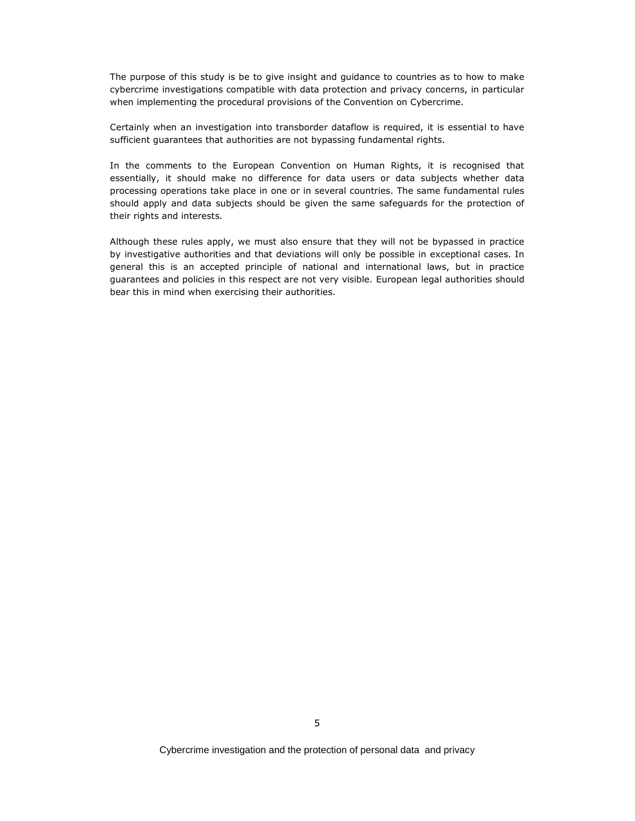The purpose of this study is be to give insight and guidance to countries as to how to make cybercrime investigations compatible with data protection and privacy concerns, in particular when implementing the procedural provisions of the Convention on Cybercrime.

Certainly when an investigation into transborder dataflow is required, it is essential to have sufficient guarantees that authorities are not bypassing fundamental rights.

In the comments to the European Convention on Human Rights, it is recognised that essentially, it should make no difference for data users or data subjects whether data processing operations take place in one or in several countries. The same fundamental rules should apply and data subjects should be given the same safeguards for the protection of their rights and interests.

Although these rules apply, we must also ensure that they will not be bypassed in practice by investigative authorities and that deviations will only be possible in exceptional cases. In general this is an accepted principle of national and international laws, but in practice guarantees and policies in this respect are not very visible. European legal authorities should bear this in mind when exercising their authorities.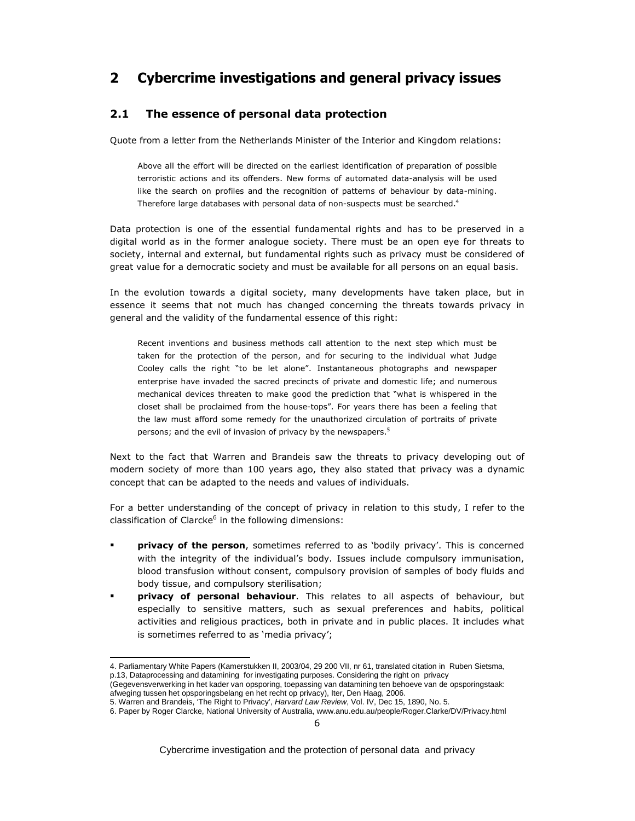# 2 Cybercrime investigations and general privacy issues

# 2.1 The essence of personal data protection

Quote from a letter from the Netherlands Minister of the Interior and Kingdom relations:

Above all the effort will be directed on the earliest identification of preparation of possible terroristic actions and its offenders. New forms of automated data-analysis will be used like the search on profiles and the recognition of patterns of behaviour by data-mining. Therefore large databases with personal data of non-suspects must be searched.<sup>4</sup>

Data protection is one of the essential fundamental rights and has to be preserved in a digital world as in the former analogue society. There must be an open eye for threats to society, internal and external, but fundamental rights such as privacy must be considered of great value for a democratic society and must be available for all persons on an equal basis.

In the evolution towards a digital society, many developments have taken place, but in essence it seems that not much has changed concerning the threats towards privacy in general and the validity of the fundamental essence of this right:

Recent inventions and business methods call attention to the next step which must be taken for the protection of the person, and for securing to the individual what Judge Cooley calls the right "to be let alone". Instantaneous photographs and newspaper enterprise have invaded the sacred precincts of private and domestic life; and numerous mechanical devices threaten to make good the prediction that "what is whispered in the closet shall be proclaimed from the house-tops". For years there has been a feeling that the law must afford some remedy for the unauthorized circulation of portraits of private persons; and the evil of invasion of privacy by the newspapers.<sup>5</sup>

Next to the fact that Warren and Brandeis saw the threats to privacy developing out of modern society of more than 100 years ago, they also stated that privacy was a dynamic concept that can be adapted to the needs and values of individuals.

For a better understanding of the concept of privacy in relation to this study, I refer to the classification of Clarcke<sup>6</sup> in the following dimensions:

- privacy of the person, sometimes referred to as 'bodily privacy'. This is concerned with the integrity of the individual's body. Issues include compulsory immunisation, blood transfusion without consent, compulsory provision of samples of body fluids and body tissue, and compulsory sterilisation;
- privacy of personal behaviour. This relates to all aspects of behaviour, but especially to sensitive matters, such as sexual preferences and habits, political activities and religious practices, both in private and in public places. It includes what is sometimes referred to as 'media privacy';

<sup>-</sup>4. Parliamentary White Papers (Kamerstukken II, 2003/04, 29 200 VII, nr 61, translated citation in Ruben Sietsma, p.13, Dataprocessing and datamining for investigating purposes. Considering the right on privacy

<sup>(</sup>Gegevensverwerking in het kader van opsporing, toepassing van datamining ten behoeve van de opsporingstaak: afweging tussen het opsporingsbelang en het recht op privacy), Iter, Den Haag, 2006. 5. Warren and Brandeis, 'The Right to Privacy', Harvard Law Review, Vol. IV, Dec 15, 1890, No. 5.

<sup>6.</sup> Paper by Roger Clarcke, National University of Australia, www.anu.edu.au/people/Roger.Clarke/DV/Privacy.html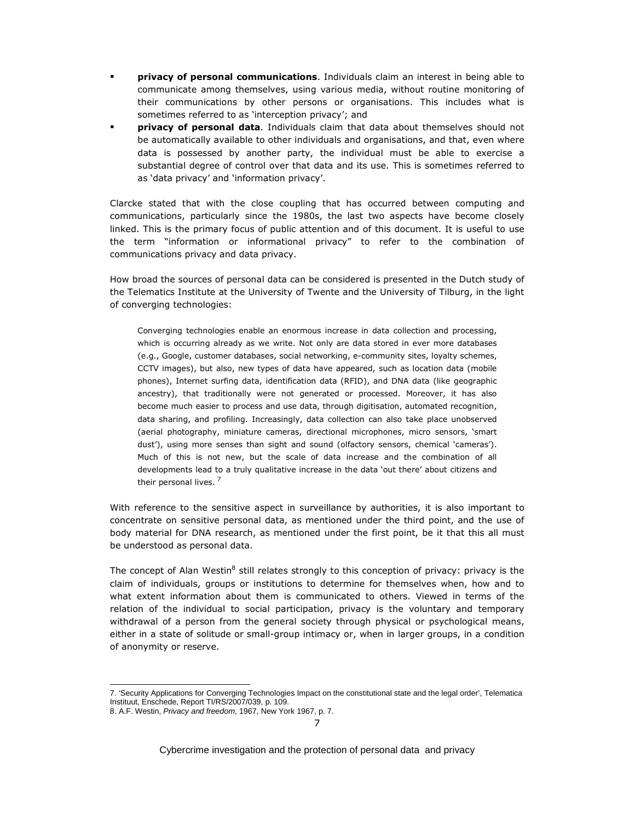- privacy of personal communications. Individuals claim an interest in being able to communicate among themselves, using various media, without routine monitoring of their communications by other persons or organisations. This includes what is sometimes referred to as 'interception privacy'; and
- privacy of personal data. Individuals claim that data about themselves should not be automatically available to other individuals and organisations, and that, even where data is possessed by another party, the individual must be able to exercise a substantial degree of control over that data and its use. This is sometimes referred to as 'data privacy' and 'information privacy'.

Clarcke stated that with the close coupling that has occurred between computing and communications, particularly since the 1980s, the last two aspects have become closely linked. This is the primary focus of public attention and of this document. It is useful to use the term "information or informational privacy" to refer to the combination of communications privacy and data privacy.

How broad the sources of personal data can be considered is presented in the Dutch study of the Telematics Institute at the University of Twente and the University of Tilburg, in the light of converging technologies:

Converging technologies enable an enormous increase in data collection and processing, which is occurring already as we write. Not only are data stored in ever more databases (e.g., Google, customer databases, social networking, e-community sites, loyalty schemes, CCTV images), but also, new types of data have appeared, such as location data (mobile phones), Internet surfing data, identification data (RFID), and DNA data (like geographic ancestry), that traditionally were not generated or processed. Moreover, it has also become much easier to process and use data, through digitisation, automated recognition, data sharing, and profiling. Increasingly, data collection can also take place unobserved (aerial photography, miniature cameras, directional microphones, micro sensors, 'smart dust'), using more senses than sight and sound (olfactory sensors, chemical 'cameras'). Much of this is not new, but the scale of data increase and the combination of all developments lead to a truly qualitative increase in the data 'out there' about citizens and their personal lives.<sup>7</sup>

With reference to the sensitive aspect in surveillance by authorities, it is also important to concentrate on sensitive personal data, as mentioned under the third point, and the use of body material for DNA research, as mentioned under the first point, be it that this all must be understood as personal data.

The concept of Alan Westin<sup>8</sup> still relates strongly to this conception of privacy: privacy is the claim of individuals, groups or institutions to determine for themselves when, how and to what extent information about them is communicated to others. Viewed in terms of the relation of the individual to social participation, privacy is the voluntary and temporary withdrawal of a person from the general society through physical or psychological means, either in a state of solitude or small-group intimacy or, when in larger groups, in a condition of anonymity or reserve.

i, 7. 'Security Applications for Converging Technologies Impact on the constitutional state and the legal order', Telematica Instituut, Enschede, Report TI/RS/2007/039, p. 109.

<sup>8.</sup> A.F. Westin, Privacy and freedom, 1967, New York 1967, p. 7.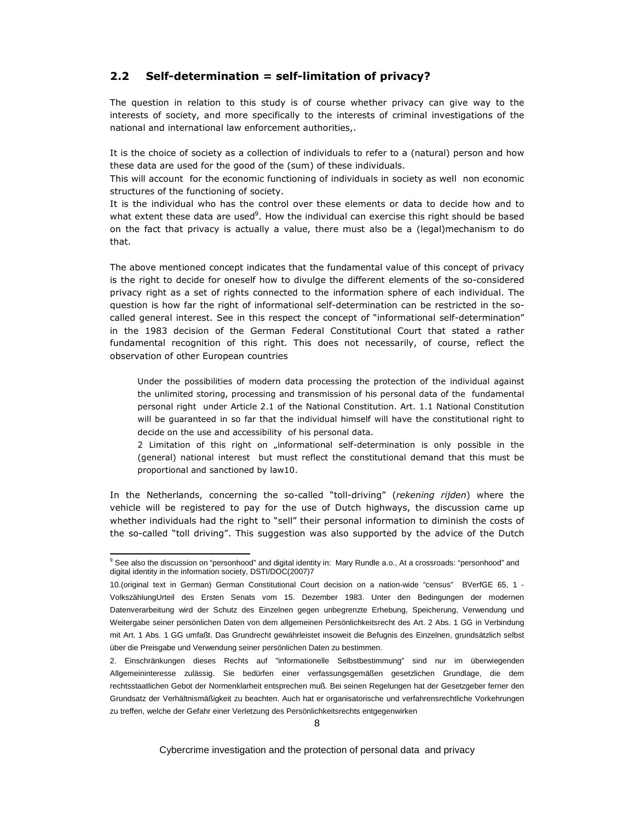## 2.2 Self-determination = self-limitation of privacy?

The question in relation to this study is of course whether privacy can give way to the interests of society, and more specifically to the interests of criminal investigations of the national and international law enforcement authorities,.

It is the choice of society as a collection of individuals to refer to a (natural) person and how these data are used for the good of the (sum) of these individuals.

This will account for the economic functioning of individuals in society as well non economic structures of the functioning of society.

It is the individual who has the control over these elements or data to decide how and to what extent these data are used<sup>9</sup>. How the individual can exercise this right should be based on the fact that privacy is actually a value, there must also be a (legal)mechanism to do that.

The above mentioned concept indicates that the fundamental value of this concept of privacy is the right to decide for oneself how to divulge the different elements of the so-considered privacy right as a set of rights connected to the information sphere of each individual. The question is how far the right of informational self-determination can be restricted in the socalled general interest. See in this respect the concept of "informational self-determination" in the 1983 decision of the German Federal Constitutional Court that stated a rather fundamental recognition of this right. This does not necessarily, of course, reflect the observation of other European countries

Under the possibilities of modern data processing the protection of the individual against the unlimited storing, processing and transmission of his personal data of the fundamental personal right under Article 2.1 of the National Constitution. Art. 1.1 National Constitution will be guaranteed in so far that the individual himself will have the constitutional right to decide on the use and accessibility of his personal data.

2 Limitation of this right on "informational self-determination is only possible in the (general) national interest but must reflect the constitutional demand that this must be proportional and sanctioned by law10.

In the Netherlands, concerning the so-called "toll-driving" (rekening rijden) where the vehicle will be registered to pay for the use of Dutch highways, the discussion came up whether individuals had the right to "sell" their personal information to diminish the costs of the so-called "toll driving". This suggestion was also supported by the advice of the Dutch

 9 See also the discussion on "personhood" and digital identity in: Mary Rundle a.o., At a crossroads: "personhood" and digital identity in the information society, DSTI/DOC(2007)7

<sup>10.(</sup>original text in German) German Constitutional Court decision on a nation-wide "census" BVerfGE 65, 1 - VolkszählungUrteil des Ersten Senats vom 15. Dezember 1983. Unter den Bedingungen der modernen Datenverarbeitung wird der Schutz des Einzelnen gegen unbegrenzte Erhebung, Speicherung, Verwendung und Weitergabe seiner persönlichen Daten von dem allgemeinen Persönlichkeitsrecht des Art. 2 Abs. 1 GG in Verbindung mit Art. 1 Abs. 1 GG umfaßt. Das Grundrecht gewährleistet insoweit die Befugnis des Einzelnen, grundsätzlich selbst über die Preisgabe und Verwendung seiner persönlichen Daten zu bestimmen.

<sup>2.</sup> Einschränkungen dieses Rechts auf "informationelle Selbstbestimmung" sind nur im überwiegenden Allgemeininteresse zulässig. Sie bedürfen einer verfassungsgemäßen gesetzlichen Grundlage, die dem rechtsstaatlichen Gebot der Normenklarheit entsprechen muß. Bei seinen Regelungen hat der Gesetzgeber ferner den Grundsatz der Verhältnismäßigkeit zu beachten. Auch hat er organisatorische und verfahrensrechtliche Vorkehrungen zu treffen, welche der Gefahr einer Verletzung des Persönlichkeitsrechts entgegenwirken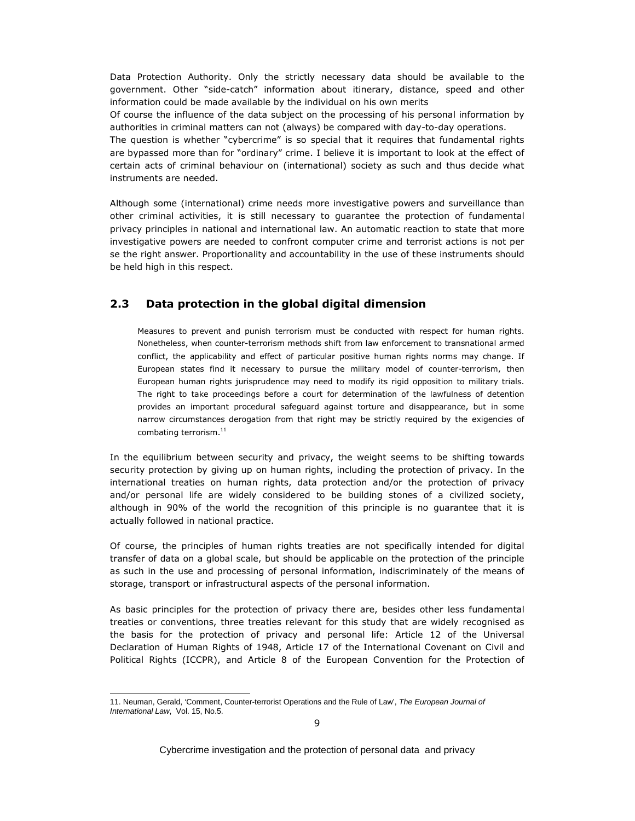Data Protection Authority. Only the strictly necessary data should be available to the government. Other "side-catch" information about itinerary, distance, speed and other information could be made available by the individual on his own merits

Of course the influence of the data subject on the processing of his personal information by authorities in criminal matters can not (always) be compared with day-to-day operations.

The question is whether "cybercrime" is so special that it requires that fundamental rights are bypassed more than for "ordinary" crime. I believe it is important to look at the effect of certain acts of criminal behaviour on (international) society as such and thus decide what instruments are needed.

Although some (international) crime needs more investigative powers and surveillance than other criminal activities, it is still necessary to guarantee the protection of fundamental privacy principles in national and international law. An automatic reaction to state that more investigative powers are needed to confront computer crime and terrorist actions is not per se the right answer. Proportionality and accountability in the use of these instruments should be held high in this respect.

## 2.3 Data protection in the global digital dimension

Measures to prevent and punish terrorism must be conducted with respect for human rights. Nonetheless, when counter-terrorism methods shift from law enforcement to transnational armed conflict, the applicability and effect of particular positive human rights norms may change. If European states find it necessary to pursue the military model of counter-terrorism, then European human rights jurisprudence may need to modify its rigid opposition to military trials. The right to take proceedings before a court for determination of the lawfulness of detention provides an important procedural safeguard against torture and disappearance, but in some narrow circumstances derogation from that right may be strictly required by the exigencies of combating terrorism.<sup>11</sup>

In the equilibrium between security and privacy, the weight seems to be shifting towards security protection by giving up on human rights, including the protection of privacy. In the international treaties on human rights, data protection and/or the protection of privacy and/or personal life are widely considered to be building stones of a civilized society, although in 90% of the world the recognition of this principle is no guarantee that it is actually followed in national practice.

Of course, the principles of human rights treaties are not specifically intended for digital transfer of data on a global scale, but should be applicable on the protection of the principle as such in the use and processing of personal information, indiscriminately of the means of storage, transport or infrastructural aspects of the personal information.

As basic principles for the protection of privacy there are, besides other less fundamental treaties or conventions, three treaties relevant for this study that are widely recognised as the basis for the protection of privacy and personal life: Article 12 of the Universal Declaration of Human Rights of 1948, Article 17 of the International Covenant on Civil and Political Rights (ICCPR), and Article 8 of the European Convention for the Protection of

i,

<sup>11.</sup> Neuman, Gerald, 'Comment, Counter-terrorist Operations and the Rule of Law', The European Journal of International Law, Vol. 15, No.5.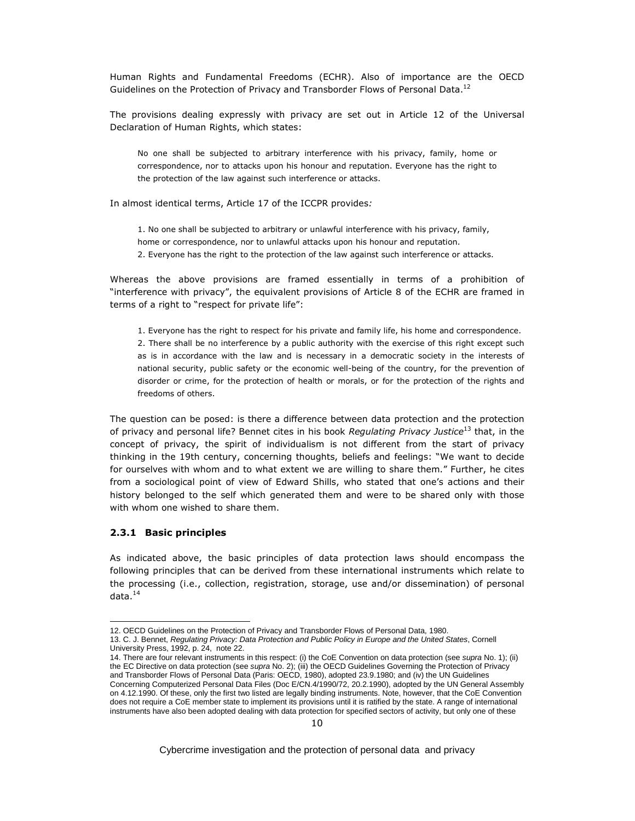Human Rights and Fundamental Freedoms (ECHR). Also of importance are the OECD Guidelines on the Protection of Privacy and Transborder Flows of Personal Data.<sup>12</sup>

The provisions dealing expressly with privacy are set out in Article 12 of the Universal Declaration of Human Rights, which states:

No one shall be subjected to arbitrary interference with his privacy, family, home or correspondence, nor to attacks upon his honour and reputation. Everyone has the right to the protection of the law against such interference or attacks.

In almost identical terms, Article 17 of the ICCPR provides:

1. No one shall be subjected to arbitrary or unlawful interference with his privacy, family, home or correspondence, nor to unlawful attacks upon his honour and reputation.

2. Everyone has the right to the protection of the law against such interference or attacks.

Whereas the above provisions are framed essentially in terms of a prohibition of "interference with privacy", the equivalent provisions of Article 8 of the ECHR are framed in terms of a right to "respect for private life":

1. Everyone has the right to respect for his private and family life, his home and correspondence. 2. There shall be no interference by a public authority with the exercise of this right except such as is in accordance with the law and is necessary in a democratic society in the interests of national security, public safety or the economic well-being of the country, for the prevention of disorder or crime, for the protection of health or morals, or for the protection of the rights and freedoms of others.

The question can be posed: is there a difference between data protection and the protection of privacy and personal life? Bennet cites in his book Regulating Privacy Justice<sup>13</sup> that, in the concept of privacy, the spirit of individualism is not different from the start of privacy thinking in the 19th century, concerning thoughts, beliefs and feelings: "We want to decide for ourselves with whom and to what extent we are willing to share them." Further, he cites from a sociological point of view of Edward Shills, who stated that one's actions and their history belonged to the self which generated them and were to be shared only with those with whom one wished to share them.

#### 2.3.1 Basic principles

-

As indicated above, the basic principles of data protection laws should encompass the following principles that can be derived from these international instruments which relate to the processing (i.e., collection, registration, storage, use and/or dissemination) of personal data.<sup>14</sup>

<sup>12.</sup> OECD Guidelines on the Protection of Privacy and Transborder Flows of Personal Data, 1980.

<sup>13.</sup> C. J. Bennet, Regulating Privacy: Data Protection and Public Policy in Europe and the United States, Cornell University Press, 1992, p. 24, note 22.

<sup>14.</sup> There are four relevant instruments in this respect: (i) the CoE Convention on data protection (see supra No. 1); (ii) the EC Directive on data protection (see supra No. 2); (iii) the OECD Guidelines Governing the Protection of Privacy and Transborder Flows of Personal Data (Paris: OECD, 1980), adopted 23.9.1980; and (iv) the UN Guidelines Concerning Computerized Personal Data Files (Doc E/CN.4/1990/72, 20.2.1990), adopted by the UN General Assembly on 4.12.1990. Of these, only the first two listed are legally binding instruments. Note, however, that the CoE Convention does not require a CoE member state to implement its provisions until it is ratified by the state. A range of international instruments have also been adopted dealing with data protection for specified sectors of activity, but only one of these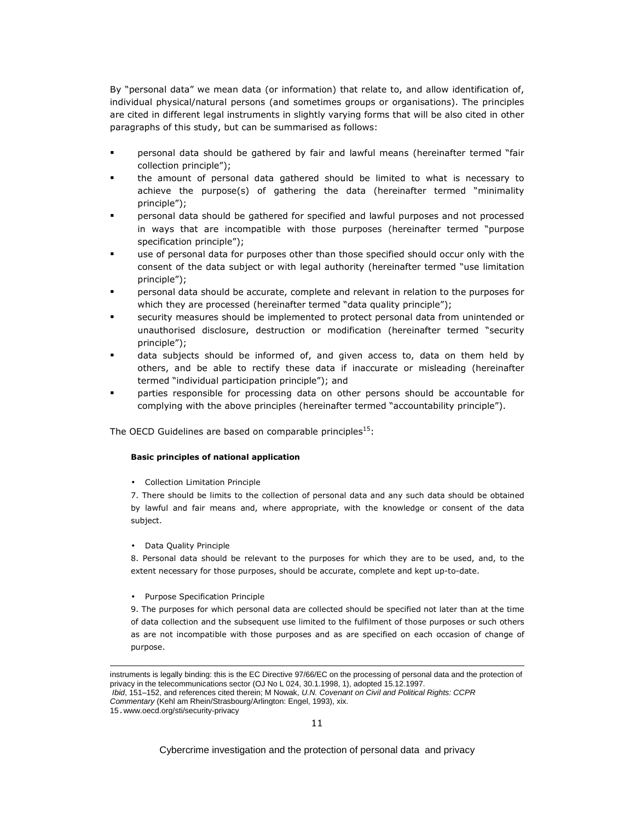By "personal data" we mean data (or information) that relate to, and allow identification of, individual physical/natural persons (and sometimes groups or organisations). The principles are cited in different legal instruments in slightly varying forms that will be also cited in other paragraphs of this study, but can be summarised as follows:

- personal data should be gathered by fair and lawful means (hereinafter termed "fair collection principle");
- the amount of personal data gathered should be limited to what is necessary to achieve the purpose(s) of gathering the data (hereinafter termed "minimality principle");
- personal data should be gathered for specified and lawful purposes and not processed in ways that are incompatible with those purposes (hereinafter termed "purpose specification principle");
- use of personal data for purposes other than those specified should occur only with the consent of the data subject or with legal authority (hereinafter termed "use limitation principle");
- personal data should be accurate, complete and relevant in relation to the purposes for which they are processed (hereinafter termed "data quality principle");
- security measures should be implemented to protect personal data from unintended or unauthorised disclosure, destruction or modification (hereinafter termed "security principle");
- data subjects should be informed of, and given access to, data on them held by others, and be able to rectify these data if inaccurate or misleading (hereinafter termed "individual participation principle"); and
- parties responsible for processing data on other persons should be accountable for complying with the above principles (hereinafter termed "accountability principle").

The OECD Guidelines are based on comparable principles $<sup>15</sup>$ :</sup>

### Basic principles of national application

• Collection Limitation Principle

7. There should be limits to the collection of personal data and any such data should be obtained by lawful and fair means and, where appropriate, with the knowledge or consent of the data subject.

• Data Quality Principle

8. Personal data should be relevant to the purposes for which they are to be used, and, to the extent necessary for those purposes, should be accurate, complete and kept up-to-date.

• Purpose Specification Principle

9. The purposes for which personal data are collected should be specified not later than at the time of data collection and the subsequent use limited to the fulfilment of those purposes or such others as are not incompatible with those purposes and as are specified on each occasion of change of purpose.

i, instruments is legally binding: this is the EC Directive 97/66/EC on the processing of personal data and the protection of privacy in the telecommunications sector (OJ No L 024, 30.1.1998, 1), adopted 15.12.1997.

Ibid, 151–152, and references cited therein; M Nowak, U.N. Covenant on Civil and Political Rights: CCPR Commentary (Kehl am Rhein/Strasbourg/Arlington: Engel, 1993), xix.

<sup>15</sup>.www.oecd.org/sti/security-privacy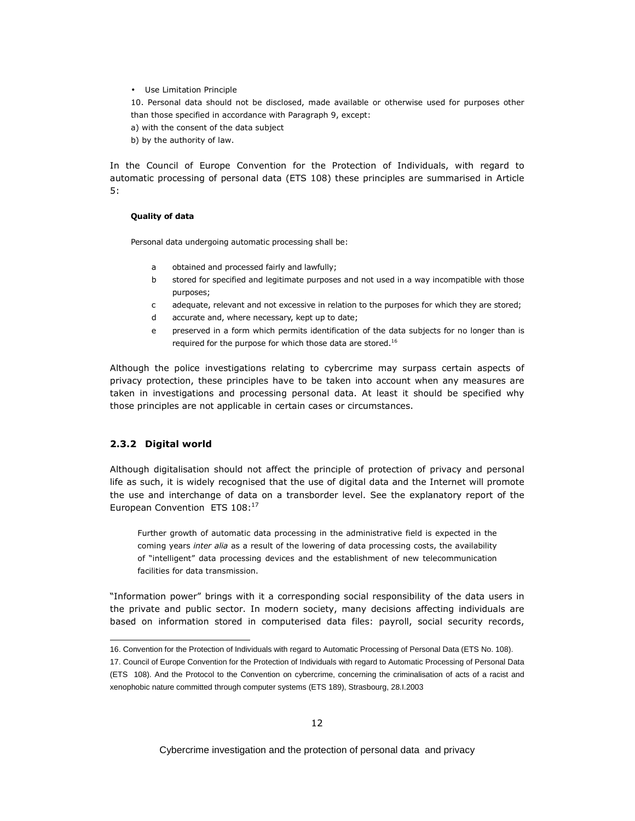• Use Limitation Principle

10. Personal data should not be disclosed, made available or otherwise used for purposes other than those specified in accordance with Paragraph 9, except:

a) with the consent of the data subject

b) by the authority of law.

In the Council of Europe Convention for the Protection of Individuals, with regard to automatic processing of personal data (ETS 108) these principles are summarised in Article 5:

#### Quality of data

Personal data undergoing automatic processing shall be:

- a obtained and processed fairly and lawfully;
- b stored for specified and legitimate purposes and not used in a way incompatible with those purposes;
- c adequate, relevant and not excessive in relation to the purposes for which they are stored;
- d accurate and, where necessary, kept up to date;
- e preserved in a form which permits identification of the data subjects for no longer than is required for the purpose for which those data are stored.<sup>16</sup>

Although the police investigations relating to cybercrime may surpass certain aspects of privacy protection, these principles have to be taken into account when any measures are taken in investigations and processing personal data. At least it should be specified why those principles are not applicable in certain cases or circumstances.

### 2.3.2 Digital world

i,

Although digitalisation should not affect the principle of protection of privacy and personal life as such, it is widely recognised that the use of digital data and the Internet will promote the use and interchange of data on a transborder level. See the explanatory report of the European Convention ETS 108:17

Further growth of automatic data processing in the administrative field is expected in the coming years inter alia as a result of the lowering of data processing costs, the availability of "intelligent" data processing devices and the establishment of new telecommunication facilities for data transmission.

"Information power" brings with it a corresponding social responsibility of the data users in the private and public sector. In modern society, many decisions affecting individuals are based on information stored in computerised data files: payroll, social security records,

<sup>16.</sup> Convention for the Protection of Individuals with regard to Automatic Processing of Personal Data (ETS No. 108).

<sup>17.</sup> Council of Europe Convention for the Protection of Individuals with regard to Automatic Processing of Personal Data (ETS 108). And the Protocol to the Convention on cybercrime, concerning the criminalisation of acts of a racist and xenophobic nature committed through computer systems (ETS 189), Strasbourg, 28.I.2003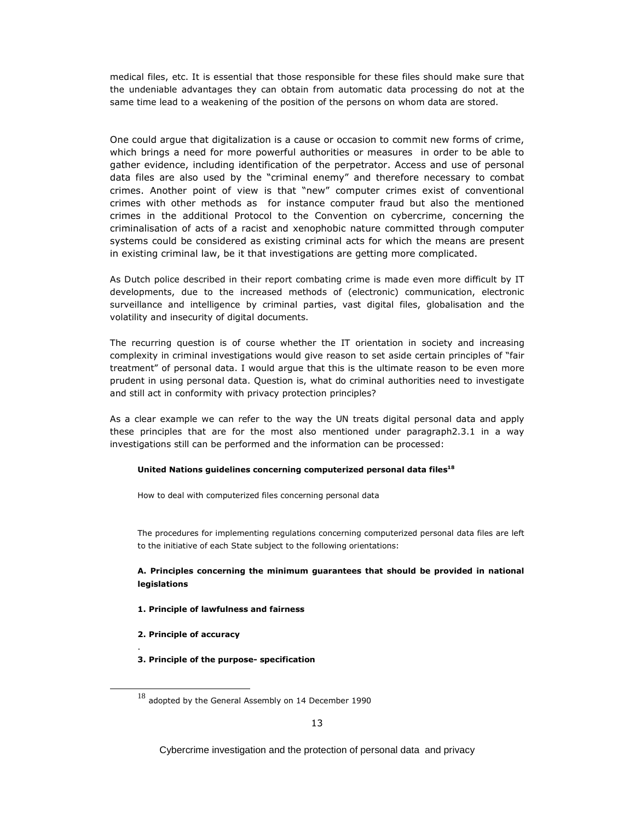medical files, etc. It is essential that those responsible for these files should make sure that the undeniable advantages they can obtain from automatic data processing do not at the same time lead to a weakening of the position of the persons on whom data are stored.

One could argue that digitalization is a cause or occasion to commit new forms of crime, which brings a need for more powerful authorities or measures in order to be able to gather evidence, including identification of the perpetrator. Access and use of personal data files are also used by the "criminal enemy" and therefore necessary to combat crimes. Another point of view is that "new" computer crimes exist of conventional crimes with other methods as for instance computer fraud but also the mentioned crimes in the additional Protocol to the Convention on cybercrime, concerning the criminalisation of acts of a racist and xenophobic nature committed through computer systems could be considered as existing criminal acts for which the means are present in existing criminal law, be it that investigations are getting more complicated.

As Dutch police described in their report combating crime is made even more difficult by IT developments, due to the increased methods of (electronic) communication, electronic surveillance and intelligence by criminal parties, vast digital files, globalisation and the volatility and insecurity of digital documents.

The recurring question is of course whether the IT orientation in society and increasing complexity in criminal investigations would give reason to set aside certain principles of "fair treatment" of personal data. I would argue that this is the ultimate reason to be even more prudent in using personal data. Question is, what do criminal authorities need to investigate and still act in conformity with privacy protection principles?

As a clear example we can refer to the way the UN treats digital personal data and apply these principles that are for the most also mentioned under paragraph2.3.1 in a way investigations still can be performed and the information can be processed:

#### United Nations guidelines concerning computerized personal data files<sup>18</sup>

How to deal with computerized files concerning personal data

The procedures for implementing regulations concerning computerized personal data files are left to the initiative of each State subject to the following orientations:

### A. Principles concerning the minimum guarantees that should be provided in national legislations

- 1. Principle of lawfulness and fairness
- 2. Principle of accuracy

.

-

3. Principle of the purpose- specification

 $18$  adopted by the General Assembly on 14 December 1990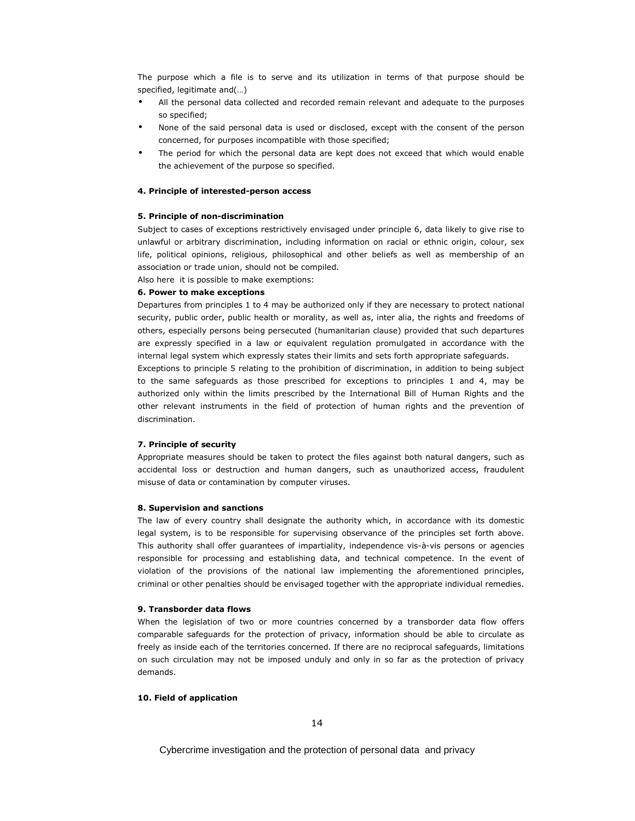The purpose which a file is to serve and its utilization in terms of that purpose should be specified, legitimate and(…)

- All the personal data collected and recorded remain relevant and adequate to the purposes so specified;
- None of the said personal data is used or disclosed, except with the consent of the person concerned, for purposes incompatible with those specified;
- The period for which the personal data are kept does not exceed that which would enable the achievement of the purpose so specified.

#### 4. Principle of interested-person access

#### 5. Principle of non-discrimination

Subject to cases of exceptions restrictively envisaged under principle 6, data likely to give rise to unlawful or arbitrary discrimination, including information on racial or ethnic origin, colour, sex life, political opinions, religious, philosophical and other beliefs as well as membership of an association or trade union, should not be compiled.

Also here it is possible to make exemptions:

#### 6. Power to make exceptions

Departures from principles 1 to 4 may be authorized only if they are necessary to protect national security, public order, public health or morality, as well as, inter alia, the rights and freedoms of others, especially persons being persecuted (humanitarian clause) provided that such departures are expressly specified in a law or equivalent regulation promulgated in accordance with the internal legal system which expressly states their limits and sets forth appropriate safeguards.

Exceptions to principle 5 relating to the prohibition of discrimination, in addition to being subject to the same safeguards as those prescribed for exceptions to principles 1 and 4, may be authorized only within the limits prescribed by the International Bill of Human Rights and the other relevant instruments in the field of protection of human rights and the prevention of discrimination.

#### 7. Principle of security

Appropriate measures should be taken to protect the files against both natural dangers, such as accidental loss or destruction and human dangers, such as unauthorized access, fraudulent misuse of data or contamination by computer viruses.

#### 8. Supervision and sanctions

The law of every country shall designate the authority which, in accordance with its domestic legal system, is to be responsible for supervising observance of the principles set forth above. This authority shall offer guarantees of impartiality, independence vis-à-vis persons or agencies responsible for processing and establishing data, and technical competence. In the event of violation of the provisions of the national law implementing the aforementioned principles, criminal or other penalties should be envisaged together with the appropriate individual remedies.

#### 9. Transborder data flows

When the legislation of two or more countries concerned by a transborder data flow offers comparable safeguards for the protection of privacy, information should be able to circulate as freely as inside each of the territories concerned. If there are no reciprocal safeguards, limitations on such circulation may not be imposed unduly and only in so far as the protection of privacy demands.

#### 10. Field of application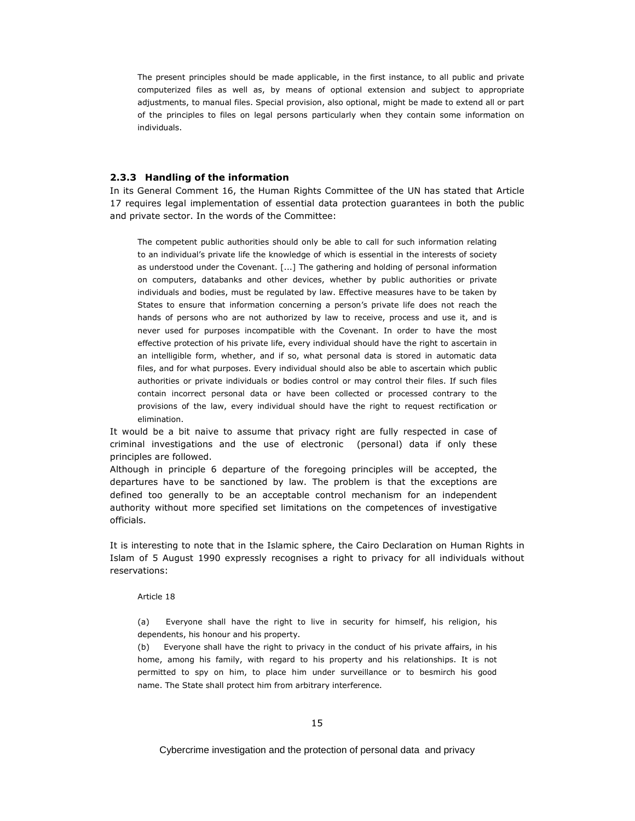The present principles should be made applicable, in the first instance, to all public and private computerized files as well as, by means of optional extension and subject to appropriate adjustments, to manual files. Special provision, also optional, might be made to extend all or part of the principles to files on legal persons particularly when they contain some information on individuals.

### 2.3.3 Handling of the information

In its General Comment 16, the Human Rights Committee of the UN has stated that Article 17 requires legal implementation of essential data protection guarantees in both the public and private sector. In the words of the Committee:

The competent public authorities should only be able to call for such information relating to an individual's private life the knowledge of which is essential in the interests of society as understood under the Covenant. [...] The gathering and holding of personal information on computers, databanks and other devices, whether by public authorities or private individuals and bodies, must be regulated by law. Effective measures have to be taken by States to ensure that information concerning a person's private life does not reach the hands of persons who are not authorized by law to receive, process and use it, and is never used for purposes incompatible with the Covenant. In order to have the most effective protection of his private life, every individual should have the right to ascertain in an intelligible form, whether, and if so, what personal data is stored in automatic data files, and for what purposes. Every individual should also be able to ascertain which public authorities or private individuals or bodies control or may control their files. If such files contain incorrect personal data or have been collected or processed contrary to the provisions of the law, every individual should have the right to request rectification or elimination.

It would be a bit naive to assume that privacy right are fully respected in case of criminal investigations and the use of electronic (personal) data if only these principles are followed.

Although in principle 6 departure of the foregoing principles will be accepted, the departures have to be sanctioned by law. The problem is that the exceptions are defined too generally to be an acceptable control mechanism for an independent authority without more specified set limitations on the competences of investigative officials.

It is interesting to note that in the Islamic sphere, the Cairo Declaration on Human Rights in Islam of 5 August 1990 expressly recognises a right to privacy for all individuals without reservations:

#### Article 18

(a) Everyone shall have the right to live in security for himself, his religion, his dependents, his honour and his property.

(b) Everyone shall have the right to privacy in the conduct of his private affairs, in his home, among his family, with regard to his property and his relationships. It is not permitted to spy on him, to place him under surveillance or to besmirch his good name. The State shall protect him from arbitrary interference.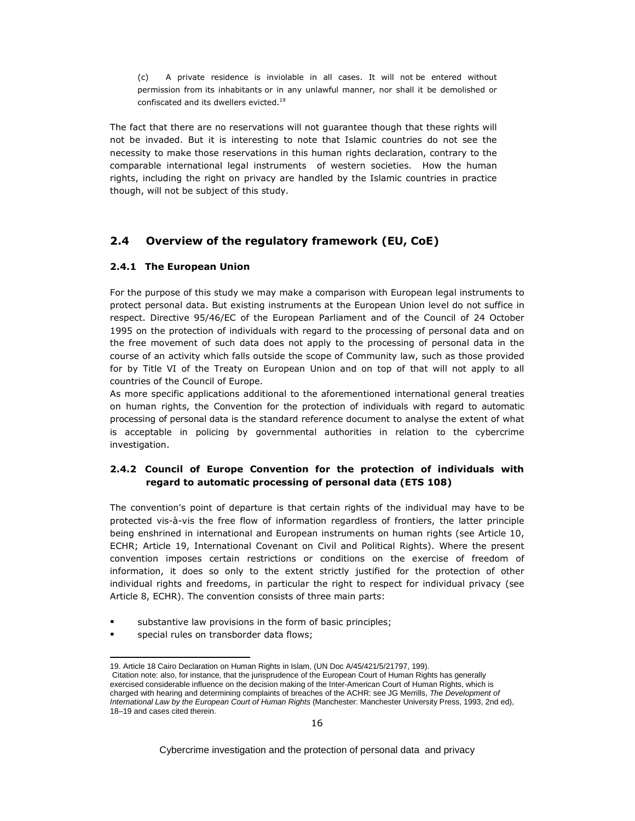(c) A private residence is inviolable in all cases. It will not be entered without permission from its inhabitants or in any unlawful manner, nor shall it be demolished or confiscated and its dwellers evicted.<sup>19</sup>

The fact that there are no reservations will not guarantee though that these rights will not be invaded. But it is interesting to note that Islamic countries do not see the necessity to make those reservations in this human rights declaration, contrary to the comparable international legal instruments of western societies. How the human rights, including the right on privacy are handled by the Islamic countries in practice though, will not be subject of this study.

# 2.4 Overview of the regulatory framework (EU, CoE)

### 2.4.1 The European Union

For the purpose of this study we may make a comparison with European legal instruments to protect personal data. But existing instruments at the European Union level do not suffice in respect. Directive 95/46/EC of the European Parliament and of the Council of 24 October 1995 on the protection of individuals with regard to the processing of personal data and on the free movement of such data does not apply to the processing of personal data in the course of an activity which falls outside the scope of Community law, such as those provided for by Title VI of the Treaty on European Union and on top of that will not apply to all countries of the Council of Europe.

As more specific applications additional to the aforementioned international general treaties on human rights, the Convention for the protection of individuals with regard to automatic processing of personal data is the standard reference document to analyse the extent of what is acceptable in policing by governmental authorities in relation to the cybercrime investigation.

## 2.4.2 Council of Europe Convention for the protection of individuals with regard to automatic processing of personal data (ETS 108)

The convention's point of departure is that certain rights of the individual may have to be protected vis-à-vis the free flow of information regardless of frontiers, the latter principle being enshrined in international and European instruments on human rights (see Article 10, ECHR; Article 19, International Covenant on Civil and Political Rights). Where the present convention imposes certain restrictions or conditions on the exercise of freedom of information, it does so only to the extent strictly justified for the protection of other individual rights and freedoms, in particular the right to respect for individual privacy (see Article 8, ECHR). The convention consists of three main parts:

- substantive law provisions in the form of basic principles;
- special rules on transborder data flows;

-

<sup>19.</sup> Article 18 Cairo Declaration on Human Rights in Islam, (UN Doc A/45/421/5/21797, 199). Citation note: also, for instance, that the jurisprudence of the European Court of Human Rights has generally exercised considerable influence on the decision making of the Inter-American Court of Human Rights, which is charged with hearing and determining complaints of breaches of the ACHR: see JG Merrills, The Development of International Law by the European Court of Human Rights (Manchester: Manchester University Press, 1993, 2nd ed), 18–19 and cases cited therein.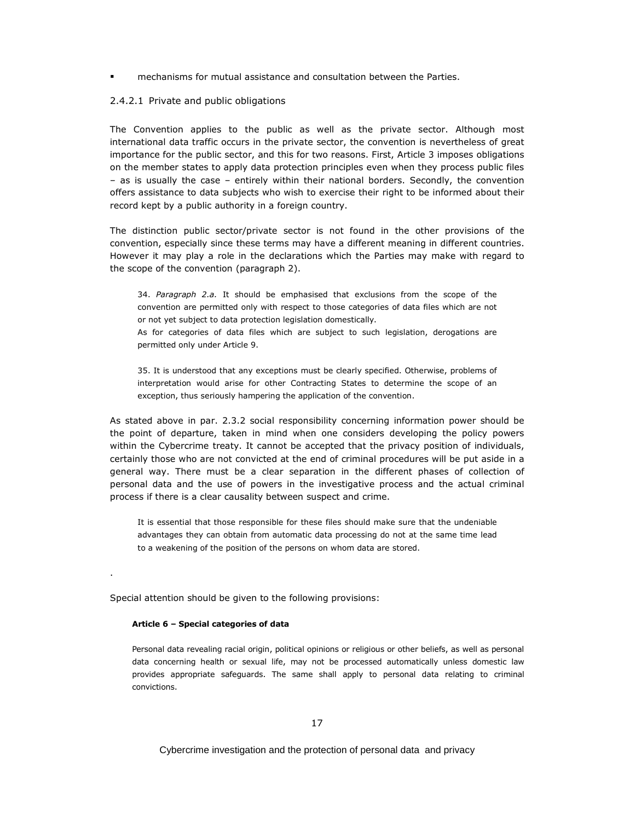mechanisms for mutual assistance and consultation between the Parties.

#### 2.4.2.1 Private and public obligations

The Convention applies to the public as well as the private sector. Although most international data traffic occurs in the private sector, the convention is nevertheless of great importance for the public sector, and this for two reasons. First, Article 3 imposes obligations on the member states to apply data protection principles even when they process public files – as is usually the case – entirely within their national borders. Secondly, the convention offers assistance to data subjects who wish to exercise their right to be informed about their record kept by a public authority in a foreign country.

The distinction public sector/private sector is not found in the other provisions of the convention, especially since these terms may have a different meaning in different countries. However it may play a role in the declarations which the Parties may make with regard to the scope of the convention (paragraph 2).

34. Paragraph 2.a. It should be emphasised that exclusions from the scope of the convention are permitted only with respect to those categories of data files which are not or not yet subject to data protection legislation domestically.

As for categories of data files which are subject to such legislation, derogations are permitted only under Article 9.

35. It is understood that any exceptions must be clearly specified. Otherwise, problems of interpretation would arise for other Contracting States to determine the scope of an exception, thus seriously hampering the application of the convention.

As stated above in par. 2.3.2 social responsibility concerning information power should be the point of departure, taken in mind when one considers developing the policy powers within the Cybercrime treaty. It cannot be accepted that the privacy position of individuals, certainly those who are not convicted at the end of criminal procedures will be put aside in a general way. There must be a clear separation in the different phases of collection of personal data and the use of powers in the investigative process and the actual criminal process if there is a clear causality between suspect and crime.

It is essential that those responsible for these files should make sure that the undeniable advantages they can obtain from automatic data processing do not at the same time lead to a weakening of the position of the persons on whom data are stored.

.

Special attention should be given to the following provisions:

#### Article 6 – Special categories of data

Personal data revealing racial origin, political opinions or religious or other beliefs, as well as personal data concerning health or sexual life, may not be processed automatically unless domestic law provides appropriate safeguards. The same shall apply to personal data relating to criminal convictions.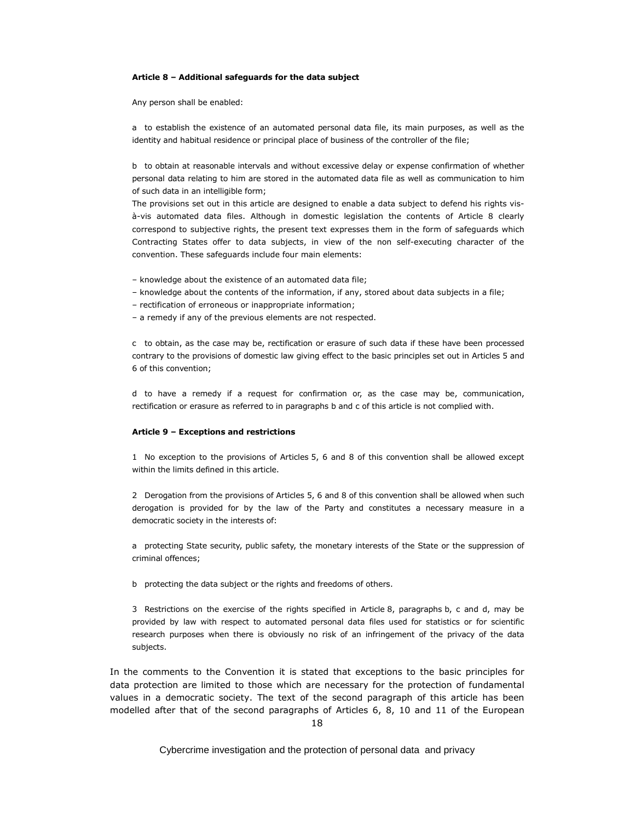#### Article 8 – Additional safeguards for the data subject

Any person shall be enabled:

a to establish the existence of an automated personal data file, its main purposes, as well as the identity and habitual residence or principal place of business of the controller of the file;

b to obtain at reasonable intervals and without excessive delay or expense confirmation of whether personal data relating to him are stored in the automated data file as well as communication to him of such data in an intelligible form;

The provisions set out in this article are designed to enable a data subject to defend his rights visà-vis automated data files. Although in domestic legislation the contents of Article 8 clearly correspond to subjective rights, the present text expresses them in the form of safeguards which Contracting States offer to data subjects, in view of the non self-executing character of the convention. These safeguards include four main elements:

- knowledge about the existence of an automated data file;
- knowledge about the contents of the information, if any, stored about data subjects in a file;
- rectification of erroneous or inappropriate information;
- a remedy if any of the previous elements are not respected.

c to obtain, as the case may be, rectification or erasure of such data if these have been processed contrary to the provisions of domestic law giving effect to the basic principles set out in Articles 5 and 6 of this convention;

d to have a remedy if a request for confirmation or, as the case may be, communication, rectification or erasure as referred to in paragraphs b and c of this article is not complied with.

#### Article 9 – Exceptions and restrictions

1 No exception to the provisions of Articles 5, 6 and 8 of this convention shall be allowed except within the limits defined in this article.

2 Derogation from the provisions of Articles 5, 6 and 8 of this convention shall be allowed when such derogation is provided for by the law of the Party and constitutes a necessary measure in a democratic society in the interests of:

a protecting State security, public safety, the monetary interests of the State or the suppression of criminal offences;

b protecting the data subject or the rights and freedoms of others.

3 Restrictions on the exercise of the rights specified in Article 8, paragraphs b, c and d, may be provided by law with respect to automated personal data files used for statistics or for scientific research purposes when there is obviously no risk of an infringement of the privacy of the data subjects.

In the comments to the Convention it is stated that exceptions to the basic principles for data protection are limited to those which are necessary for the protection of fundamental values in a democratic society. The text of the second paragraph of this article has been modelled after that of the second paragraphs of Articles 6, 8, 10 and 11 of the European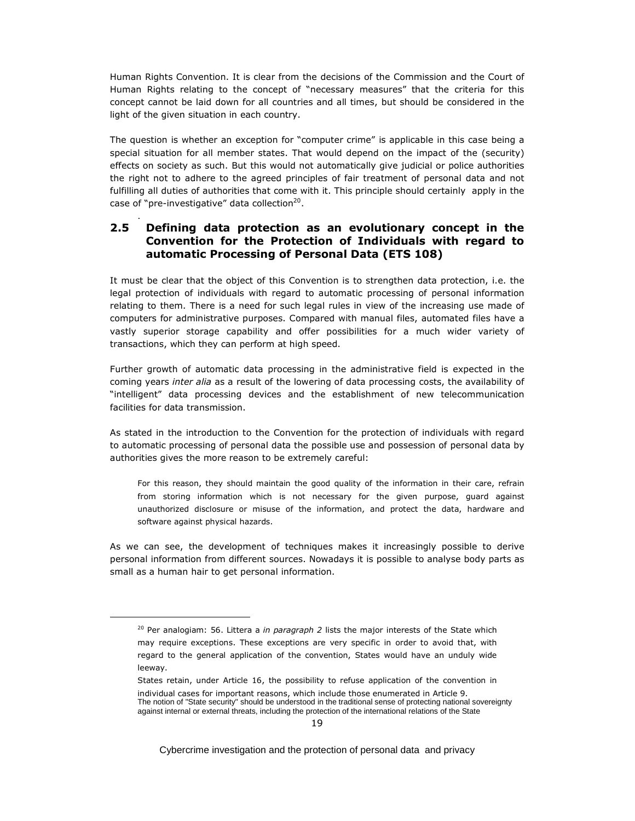Human Rights Convention. It is clear from the decisions of the Commission and the Court of Human Rights relating to the concept of "necessary measures" that the criteria for this concept cannot be laid down for all countries and all times, but should be considered in the light of the given situation in each country.

The question is whether an exception for "computer crime" is applicable in this case being a special situation for all member states. That would depend on the impact of the (security) effects on society as such. But this would not automatically give judicial or police authorities the right not to adhere to the agreed principles of fair treatment of personal data and not fulfilling all duties of authorities that come with it. This principle should certainly apply in the case of "pre-investigative" data collection $20$ .

# 2.5 Defining data protection as an evolutionary concept in the Convention for the Protection of Individuals with regard to automatic Processing of Personal Data (ETS 108)

.

-

It must be clear that the object of this Convention is to strengthen data protection, i.e. the legal protection of individuals with regard to automatic processing of personal information relating to them. There is a need for such legal rules in view of the increasing use made of computers for administrative purposes. Compared with manual files, automated files have a vastly superior storage capability and offer possibilities for a much wider variety of transactions, which they can perform at high speed.

Further growth of automatic data processing in the administrative field is expected in the coming years inter alia as a result of the lowering of data processing costs, the availability of "intelligent" data processing devices and the establishment of new telecommunication facilities for data transmission.

As stated in the introduction to the Convention for the protection of individuals with regard to automatic processing of personal data the possible use and possession of personal data by authorities gives the more reason to be extremely careful:

For this reason, they should maintain the good quality of the information in their care, refrain from storing information which is not necessary for the given purpose, guard against unauthorized disclosure or misuse of the information, and protect the data, hardware and software against physical hazards.

As we can see, the development of techniques makes it increasingly possible to derive personal information from different sources. Nowadays it is possible to analyse body parts as small as a human hair to get personal information.

<sup>&</sup>lt;sup>20</sup> Per analogiam: 56. Littera a in paragraph 2 lists the major interests of the State which may require exceptions. These exceptions are very specific in order to avoid that, with regard to the general application of the convention, States would have an unduly wide leeway.

States retain, under Article 16, the possibility to refuse application of the convention in individual cases for important reasons, which include those enumerated in Article 9. The notion of "State security" should be understood in the traditional sense of protecting national sovereignty against internal or external threats, including the protection of the international relations of the State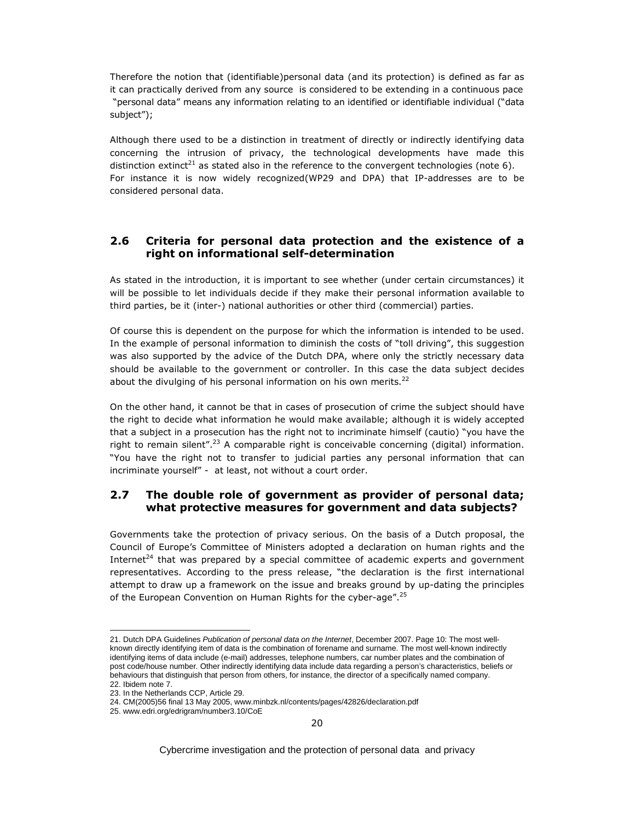Therefore the notion that (identifiable)personal data (and its protection) is defined as far as it can practically derived from any source is considered to be extending in a continuous pace "personal data" means any information relating to an identified or identifiable individual ("data subject");

Although there used to be a distinction in treatment of directly or indirectly identifying data concerning the intrusion of privacy, the technological developments have made this distinction extinct<sup>21</sup> as stated also in the reference to the convergent technologies (note 6). For instance it is now widely recognized(WP29 and DPA) that IP-addresses are to be considered personal data.

# 2.6 Criteria for personal data protection and the existence of a right on informational self-determination

As stated in the introduction, it is important to see whether (under certain circumstances) it will be possible to let individuals decide if they make their personal information available to third parties, be it (inter-) national authorities or other third (commercial) parties.

Of course this is dependent on the purpose for which the information is intended to be used. In the example of personal information to diminish the costs of "toll driving", this suggestion was also supported by the advice of the Dutch DPA, where only the strictly necessary data should be available to the government or controller. In this case the data subject decides about the divulging of his personal information on his own merits. $^{22}$ 

On the other hand, it cannot be that in cases of prosecution of crime the subject should have the right to decide what information he would make available; although it is widely accepted that a subject in a prosecution has the right not to incriminate himself (cautio) "you have the right to remain silent".<sup>23</sup> A comparable right is conceivable concerning (digital) information. "You have the right not to transfer to judicial parties any personal information that can incriminate yourself" - at least, not without a court order.

# 2.7 The double role of government as provider of personal data; what protective measures for government and data subjects?

Governments take the protection of privacy serious. On the basis of a Dutch proposal, the Council of Europe's Committee of Ministers adopted a declaration on human rights and the Internet<sup>24</sup> that was prepared by a special committee of academic experts and government representatives. According to the press release, "the declaration is the first international attempt to draw up a framework on the issue and breaks ground by up-dating the principles of the European Convention on Human Rights for the cyber-age".<sup>25</sup>

<sup>-</sup>21. Dutch DPA Guidelines Publication of personal data on the Internet, December 2007. Page 10: The most wellknown directly identifying item of data is the combination of forename and surname. The most well-known indirectly identifying items of data include (e-mail) addresses, telephone numbers, car number plates and the combination of post code/house number. Other indirectly identifying data include data regarding a person's characteristics, beliefs or behaviours that distinguish that person from others, for instance, the director of a specifically named company. 22. Ibidem note 7.

<sup>23.</sup> In the Netherlands CCP, Article 29.

<sup>24.</sup> CM(2005)56 final 13 May 2005, www.minbzk.nl/contents/pages/42826/declaration.pdf

<sup>25.</sup> www.edri.org/edrigram/number3.10/CoE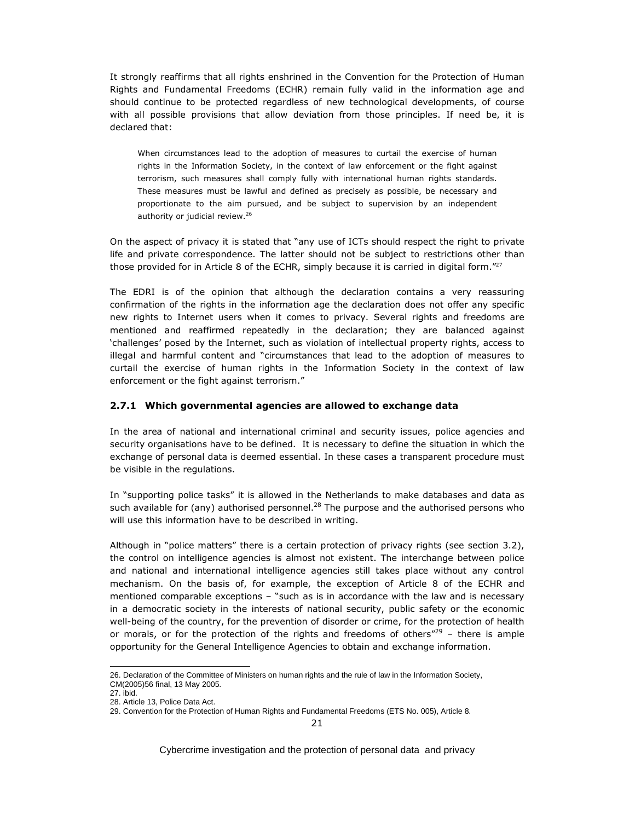It strongly reaffirms that all rights enshrined in the Convention for the Protection of Human Rights and Fundamental Freedoms (ECHR) remain fully valid in the information age and should continue to be protected regardless of new technological developments, of course with all possible provisions that allow deviation from those principles. If need be, it is declared that:

When circumstances lead to the adoption of measures to curtail the exercise of human rights in the Information Society, in the context of law enforcement or the fight against terrorism, such measures shall comply fully with international human rights standards. These measures must be lawful and defined as precisely as possible, be necessary and proportionate to the aim pursued, and be subject to supervision by an independent authority or judicial review.<sup>26</sup>

On the aspect of privacy it is stated that "any use of ICTs should respect the right to private life and private correspondence. The latter should not be subject to restrictions other than those provided for in Article 8 of the ECHR, simply because it is carried in digital form." $27$ 

The EDRI is of the opinion that although the declaration contains a very reassuring confirmation of the rights in the information age the declaration does not offer any specific new rights to Internet users when it comes to privacy. Several rights and freedoms are mentioned and reaffirmed repeatedly in the declaration; they are balanced against 'challenges' posed by the Internet, such as violation of intellectual property rights, access to illegal and harmful content and "circumstances that lead to the adoption of measures to curtail the exercise of human rights in the Information Society in the context of law enforcement or the fight against terrorism."

### 2.7.1 Which governmental agencies are allowed to exchange data

In the area of national and international criminal and security issues, police agencies and security organisations have to be defined. It is necessary to define the situation in which the exchange of personal data is deemed essential. In these cases a transparent procedure must be visible in the regulations.

In "supporting police tasks" it is allowed in the Netherlands to make databases and data as such available for (any) authorised personnel. $^{28}$  The purpose and the authorised persons who will use this information have to be described in writing.

Although in "police matters" there is a certain protection of privacy rights (see section 3.2), the control on intelligence agencies is almost not existent. The interchange between police and national and international intelligence agencies still takes place without any control mechanism. On the basis of, for example, the exception of Article 8 of the ECHR and mentioned comparable exceptions – "such as is in accordance with the law and is necessary in a democratic society in the interests of national security, public safety or the economic well-being of the country, for the prevention of disorder or crime, for the protection of health or morals, or for the protection of the rights and freedoms of others $"^{29}$  – there is ample opportunity for the General Intelligence Agencies to obtain and exchange information.

i, 26. Declaration of the Committee of Ministers on human rights and the rule of law in the Information Society, CM(2005)56 final, 13 May 2005.

<sup>27.</sup> ibid.

<sup>28.</sup> Article 13, Police Data Act.

<sup>29.</sup> Convention for the Protection of Human Rights and Fundamental Freedoms (ETS No. 005), Article 8.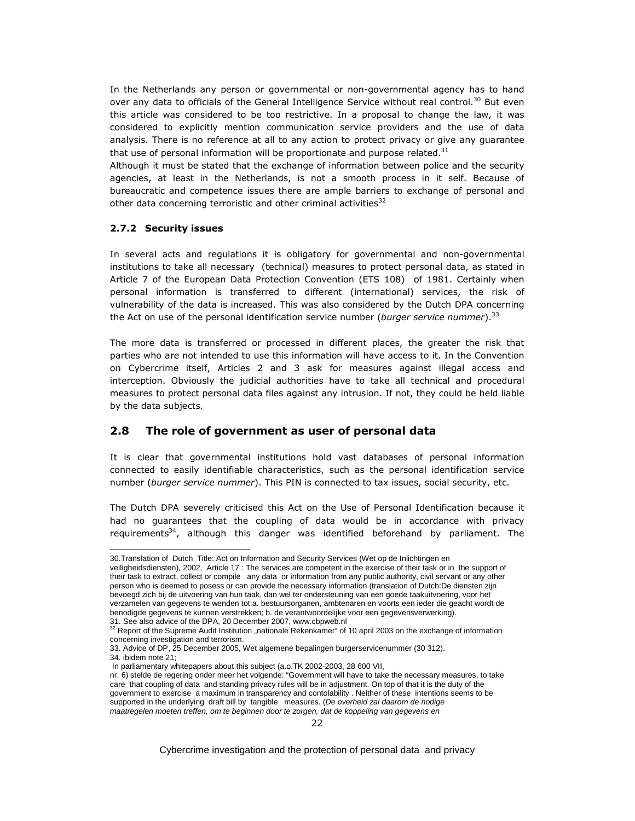In the Netherlands any person or governmental or non-governmental agency has to hand over any data to officials of the General Intelligence Service without real control.<sup>30</sup> But even this article was considered to be too restrictive. In a proposal to change the law, it was considered to explicitly mention communication service providers and the use of data analysis. There is no reference at all to any action to protect privacy or give any guarantee that use of personal information will be proportionate and purpose related. $31$ 

Although it must be stated that the exchange of information between police and the security agencies, at least in the Netherlands, is not a smooth process in it self. Because of bureaucratic and competence issues there are ample barriers to exchange of personal and other data concerning terroristic and other criminal activities<sup>32</sup>

### 2.7.2 Security issues

i,

In several acts and regulations it is obligatory for governmental and non-governmental institutions to take all necessary (technical) measures to protect personal data, as stated in Article 7 of the European Data Protection Convention (ETS 108) of 1981. Certainly when personal information is transferred to different (international) services, the risk of vulnerability of the data is increased. This was also considered by the Dutch DPA concerning the Act on use of the personal identification service number (burger service nummer).<sup>33</sup>

The more data is transferred or processed in different places, the greater the risk that parties who are not intended to use this information will have access to it. In the Convention on Cybercrime itself, Articles 2 and 3 ask for measures against illegal access and interception. Obviously the judicial authorities have to take all technical and procedural measures to protect personal data files against any intrusion. If not, they could be held liable by the data subjects.

### 2.8 The role of government as user of personal data

It is clear that governmental institutions hold vast databases of personal information connected to easily identifiable characteristics, such as the personal identification service number (burger service nummer). This PIN is connected to tax issues, social security, etc.

The Dutch DPA severely criticised this Act on the Use of Personal Identification because it had no guarantees that the coupling of data would be in accordance with privacy requirements<sup>34</sup>, although this danger was identified beforehand by parliament. The

their task to extract, collect or compile any data or information from any public authority, civil servant or any other person who is deemed to posess or can provide the necessary information (translation of Dutch:De diensten zijn bevoegd zich bij de uitvoering van hun taak, dan wel ter ondersteuning van een goede taakuitvoering, voor het verzamelen van gegevens te wenden tot:a. bestuursorganen, ambtenaren en voorts een ieder die geacht wordt de benodigde gegevens te kunnen verstrekken; b. de verantwoordelijke voor een gegevensverwerking).

<sup>30.</sup>Translation of Dutch Title: Act on Information and Security Services (Wet op de Inlichtingen en veiligheidsdiensten), 2002, Article 17 : The services are competent in the exercise of their task or in the support of

<sup>31.</sup> See also advice of the DPA, 20 December 2007, www.cbpweb.nl<br><sup>32</sup> Report of the Supreme Audit Institution "nationale Rekenkamer" of 10 april 2003 on the exchange of information concerning investigation and terrorism.

<sup>33.</sup> Advice of DP, 25 December 2005, Wet algemene bepalingen burgerservicenummer (30 312). 34. ibidem note 21;

In parliamentary whitepapers about this subject (a.o.TK 2002-2003, 28 600 VII,

nr. 6) stelde de regering onder meer het volgende: "Government will have to take the necessary measures, to take care that coupling of data and standing privacy rules will be in adjustment. On top of that it is the duty of the government to exercise a maximum in transparency and contolability . Neither of these intentions seems to be supported in the underlying draft bill by tangible measures. (De overheid zal daarom de nodige maatregelen moeten treffen, om te beginnen door te zorgen, dat de koppeling van gegevens en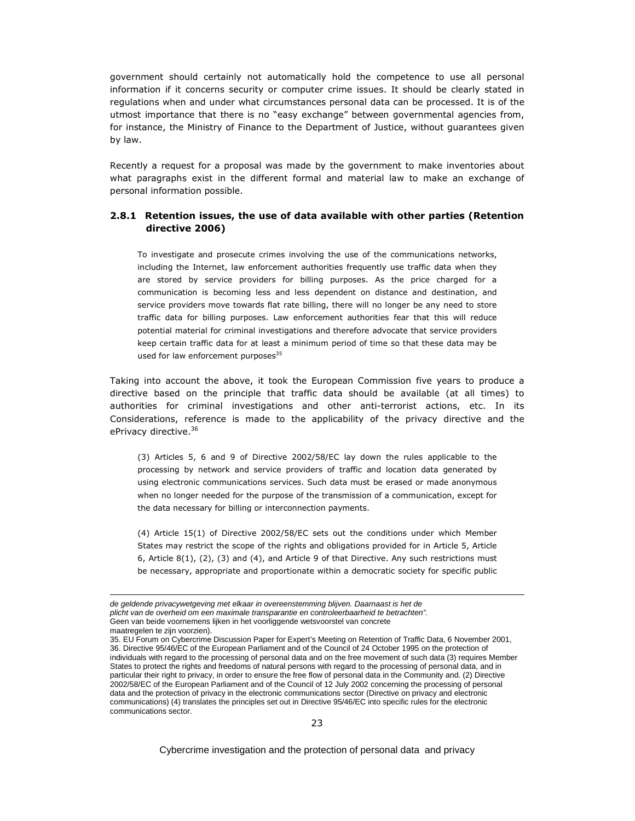government should certainly not automatically hold the competence to use all personal information if it concerns security or computer crime issues. It should be clearly stated in regulations when and under what circumstances personal data can be processed. It is of the utmost importance that there is no "easy exchange" between governmental agencies from, for instance, the Ministry of Finance to the Department of Justice, without guarantees given by law.

Recently a request for a proposal was made by the government to make inventories about what paragraphs exist in the different formal and material law to make an exchange of personal information possible.

### 2.8.1 Retention issues, the use of data available with other parties (Retention directive 2006)

To investigate and prosecute crimes involving the use of the communications networks, including the Internet, law enforcement authorities frequently use traffic data when they are stored by service providers for billing purposes. As the price charged for a communication is becoming less and less dependent on distance and destination, and service providers move towards flat rate billing, there will no longer be any need to store traffic data for billing purposes. Law enforcement authorities fear that this will reduce potential material for criminal investigations and therefore advocate that service providers keep certain traffic data for at least a minimum period of time so that these data may be used for law enforcement purposes<sup>35</sup>

Taking into account the above, it took the European Commission five years to produce a directive based on the principle that traffic data should be available (at all times) to authorities for criminal investigations and other anti-terrorist actions, etc. In its Considerations, reference is made to the applicability of the privacy directive and the ePrivacy directive.<sup>36</sup>

(3) Articles 5, 6 and 9 of Directive 2002/58/EC lay down the rules applicable to the processing by network and service providers of traffic and location data generated by using electronic communications services. Such data must be erased or made anonymous when no longer needed for the purpose of the transmission of a communication, except for the data necessary for billing or interconnection payments.

(4) Article 15(1) of Directive 2002/58/EC sets out the conditions under which Member States may restrict the scope of the rights and obligations provided for in Article 5, Article 6, Article  $8(1)$ ,  $(2)$ ,  $(3)$  and  $(4)$ , and Article 9 of that Directive. Any such restrictions must be necessary, appropriate and proportionate within a democratic society for specific public

i,

de geldende privacywetgeving met elkaar in overeenstemming blijven. Daarnaast is het de plicht van de overheid om een maximale transparantie en controleerbaarheid te betrachten". Geen van beide voornemens lijken in het voorliggende wetsvoorstel van concrete maatregelen te zijn voorzien).

<sup>35.</sup> EU Forum on Cybercrime Discussion Paper for Expert's Meeting on Retention of Traffic Data, 6 November 2001, 36. Directive 95/46/EC of the European Parliament and of the Council of 24 October 1995 on the protection of individuals with regard to the processing of personal data and on the free movement of such data (3) requires Member States to protect the rights and freedoms of natural persons with regard to the processing of personal data, and in particular their right to privacy, in order to ensure the free flow of personal data in the Community and. (2) Directive 2002/58/EC of the European Parliament and of the Council of 12 July 2002 concerning the processing of personal data and the protection of privacy in the electronic communications sector (Directive on privacy and electronic communications) (4) translates the principles set out in Directive 95/46/EC into specific rules for the electronic communications sector.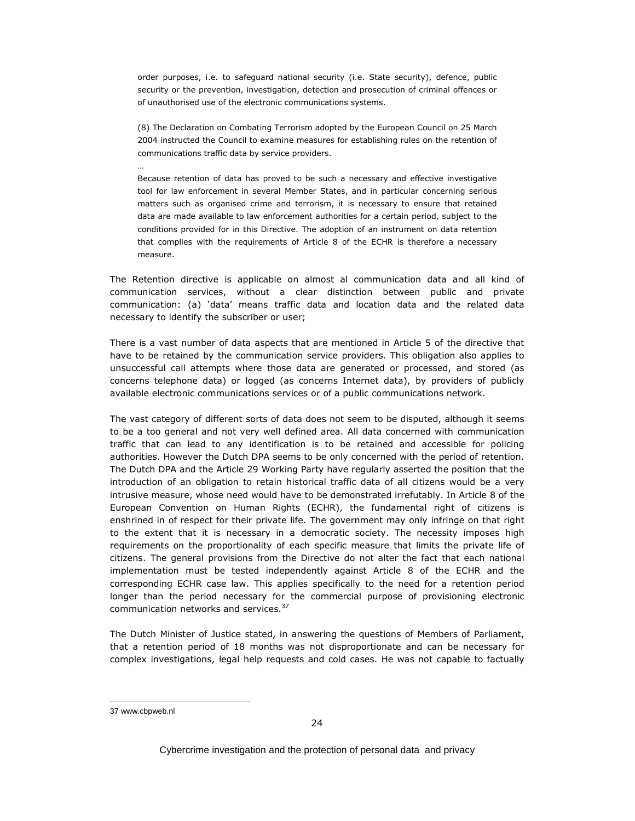order purposes, i.e. to safeguard national security (i.e. State security), defence, public security or the prevention, investigation, detection and prosecution of criminal offences or of unauthorised use of the electronic communications systems.

(8) The Declaration on Combating Terrorism adopted by the European Council on 25 March 2004 instructed the Council to examine measures for establishing rules on the retention of communications traffic data by service providers.

Because retention of data has proved to be such a necessary and effective investigative tool for law enforcement in several Member States, and in particular concerning serious matters such as organised crime and terrorism, it is necessary to ensure that retained data are made available to law enforcement authorities for a certain period, subject to the conditions provided for in this Directive. The adoption of an instrument on data retention that complies with the requirements of Article 8 of the ECHR is therefore a necessary measure.

The Retention directive is applicable on almost al communication data and all kind of communication services, without a clear distinction between public and private communication: (a) 'data' means traffic data and location data and the related data necessary to identify the subscriber or user;

There is a vast number of data aspects that are mentioned in Article 5 of the directive that have to be retained by the communication service providers. This obligation also applies to unsuccessful call attempts where those data are generated or processed, and stored (as concerns telephone data) or logged (as concerns Internet data), by providers of publicly available electronic communications services or of a public communications network.

The vast category of different sorts of data does not seem to be disputed, although it seems to be a too general and not very well defined area. All data concerned with communication traffic that can lead to any identification is to be retained and accessible for policing authorities. However the Dutch DPA seems to be only concerned with the period of retention. The Dutch DPA and the Article 29 Working Party have regularly asserted the position that the introduction of an obligation to retain historical traffic data of all citizens would be a very intrusive measure, whose need would have to be demonstrated irrefutably. In Article 8 of the European Convention on Human Rights (ECHR), the fundamental right of citizens is enshrined in of respect for their private life. The government may only infringe on that right to the extent that it is necessary in a democratic society. The necessity imposes high requirements on the proportionality of each specific measure that limits the private life of citizens. The general provisions from the Directive do not alter the fact that each national implementation must be tested independently against Article 8 of the ECHR and the corresponding ECHR case law. This applies specifically to the need for a retention period longer than the period necessary for the commercial purpose of provisioning electronic communication networks and services.<sup>37</sup>

The Dutch Minister of Justice stated, in answering the questions of Members of Parliament, that a retention period of 18 months was not disproportionate and can be necessary for complex investigations, legal help requests and cold cases. He was not capable to factually

…

i, 37 www.cbpweb.nl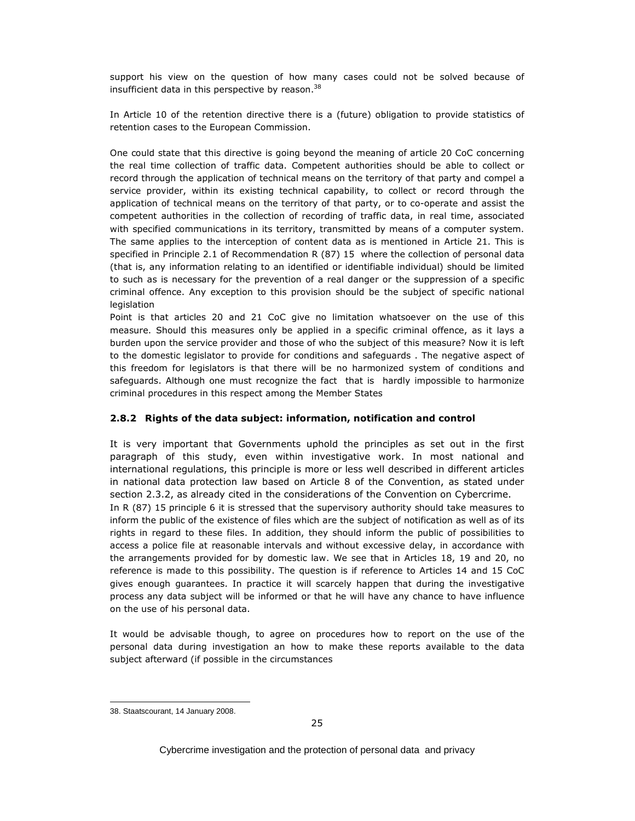support his view on the question of how many cases could not be solved because of insufficient data in this perspective by reason. $38$ 

In Article 10 of the retention directive there is a (future) obligation to provide statistics of retention cases to the European Commission.

One could state that this directive is going beyond the meaning of article 20 CoC concerning the real time collection of traffic data. Competent authorities should be able to collect or record through the application of technical means on the territory of that party and compel a service provider, within its existing technical capability, to collect or record through the application of technical means on the territory of that party, or to co-operate and assist the competent authorities in the collection of recording of traffic data, in real time, associated with specified communications in its territory, transmitted by means of a computer system. The same applies to the interception of content data as is mentioned in Article 21. This is specified in Principle 2.1 of Recommendation R (87) 15 where the collection of personal data (that is, any information relating to an identified or identifiable individual) should be limited to such as is necessary for the prevention of a real danger or the suppression of a specific criminal offence. Any exception to this provision should be the subject of specific national **legislation** 

Point is that articles 20 and 21 CoC give no limitation whatsoever on the use of this measure. Should this measures only be applied in a specific criminal offence, as it lays a burden upon the service provider and those of who the subject of this measure? Now it is left to the domestic legislator to provide for conditions and safeguards . The negative aspect of this freedom for legislators is that there will be no harmonized system of conditions and safeguards. Although one must recognize the fact that is hardly impossible to harmonize criminal procedures in this respect among the Member States

### 2.8.2 Rights of the data subject: information, notification and control

It is very important that Governments uphold the principles as set out in the first paragraph of this study, even within investigative work. In most national and international regulations, this principle is more or less well described in different articles in national data protection law based on Article 8 of the Convention, as stated under section 2.3.2, as already cited in the considerations of the Convention on Cybercrime. In R (87) 15 principle 6 it is stressed that the supervisory authority should take measures to inform the public of the existence of files which are the subject of notification as well as of its rights in regard to these files. In addition, they should inform the public of possibilities to access a police file at reasonable intervals and without excessive delay, in accordance with the arrangements provided for by domestic law. We see that in Articles 18, 19 and 20, no reference is made to this possibility. The question is if reference to Articles 14 and 15 CoC gives enough guarantees. In practice it will scarcely happen that during the investigative process any data subject will be informed or that he will have any chance to have influence on the use of his personal data.

It would be advisable though, to agree on procedures how to report on the use of the personal data during investigation an how to make these reports available to the data subject afterward (if possible in the circumstances

i, 38. Staatscourant, 14 January 2008.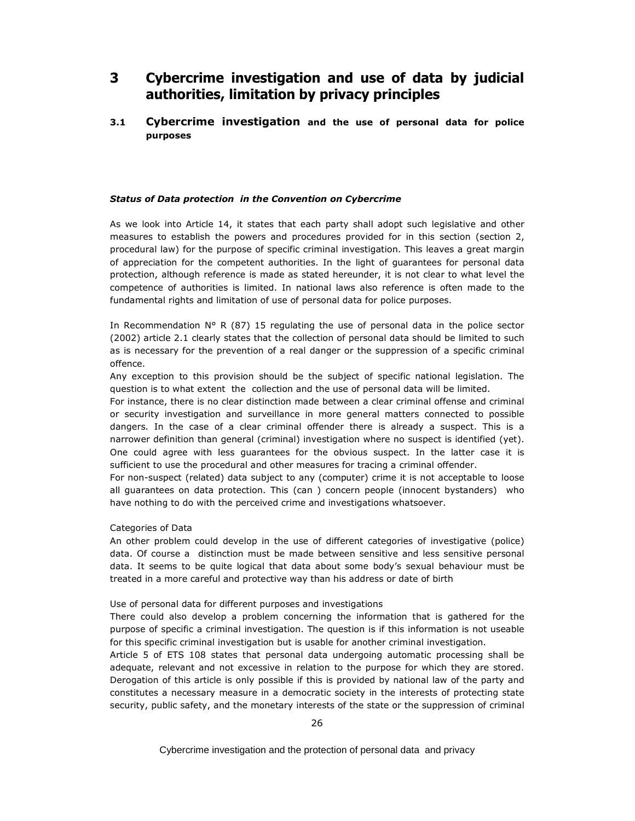# 3 Cybercrime investigation and use of data by judicial authorities, limitation by privacy principles

## 3.1 Cybercrime investigation and the use of personal data for police purposes

#### Status of Data protection in the Convention on Cybercrime

As we look into Article 14, it states that each party shall adopt such legislative and other measures to establish the powers and procedures provided for in this section (section 2, procedural law) for the purpose of specific criminal investigation. This leaves a great margin of appreciation for the competent authorities. In the light of guarantees for personal data protection, although reference is made as stated hereunder, it is not clear to what level the competence of authorities is limited. In national laws also reference is often made to the fundamental rights and limitation of use of personal data for police purposes.

In Recommendation  $N^{\circ}$  R (87) 15 regulating the use of personal data in the police sector (2002) article 2.1 clearly states that the collection of personal data should be limited to such as is necessary for the prevention of a real danger or the suppression of a specific criminal offence.

Any exception to this provision should be the subject of specific national legislation. The question is to what extent the collection and the use of personal data will be limited.

For instance, there is no clear distinction made between a clear criminal offense and criminal or security investigation and surveillance in more general matters connected to possible dangers. In the case of a clear criminal offender there is already a suspect. This is a narrower definition than general (criminal) investigation where no suspect is identified (yet). One could agree with less guarantees for the obvious suspect. In the latter case it is sufficient to use the procedural and other measures for tracing a criminal offender.

For non-suspect (related) data subject to any (computer) crime it is not acceptable to loose all guarantees on data protection. This (can ) concern people (innocent bystanders) who have nothing to do with the perceived crime and investigations whatsoever.

#### Categories of Data

An other problem could develop in the use of different categories of investigative (police) data. Of course a distinction must be made between sensitive and less sensitive personal data. It seems to be quite logical that data about some body's sexual behaviour must be treated in a more careful and protective way than his address or date of birth

#### Use of personal data for different purposes and investigations

There could also develop a problem concerning the information that is gathered for the purpose of specific a criminal investigation. The question is if this information is not useable for this specific criminal investigation but is usable for another criminal investigation.

Article 5 of ETS 108 states that personal data undergoing automatic processing shall be adequate, relevant and not excessive in relation to the purpose for which they are stored. Derogation of this article is only possible if this is provided by national law of the party and constitutes a necessary measure in a democratic society in the interests of protecting state security, public safety, and the monetary interests of the state or the suppression of criminal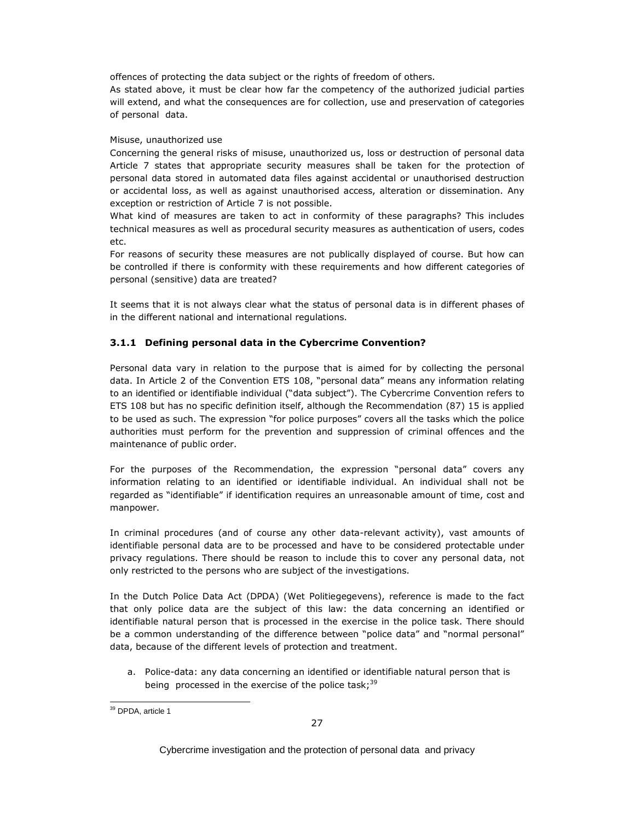offences of protecting the data subject or the rights of freedom of others.

As stated above, it must be clear how far the competency of the authorized judicial parties will extend, and what the consequences are for collection, use and preservation of categories of personal data.

### Misuse, unauthorized use

Concerning the general risks of misuse, unauthorized us, loss or destruction of personal data Article 7 states that appropriate security measures shall be taken for the protection of personal data stored in automated data files against accidental or unauthorised destruction or accidental loss, as well as against unauthorised access, alteration or dissemination. Any exception or restriction of Article 7 is not possible.

What kind of measures are taken to act in conformity of these paragraphs? This includes technical measures as well as procedural security measures as authentication of users, codes etc.

For reasons of security these measures are not publically displayed of course. But how can be controlled if there is conformity with these requirements and how different categories of personal (sensitive) data are treated?

It seems that it is not always clear what the status of personal data is in different phases of in the different national and international regulations.

## 3.1.1 Defining personal data in the Cybercrime Convention?

Personal data vary in relation to the purpose that is aimed for by collecting the personal data. In Article 2 of the Convention ETS 108, "personal data" means any information relating to an identified or identifiable individual ("data subject"). The Cybercrime Convention refers to ETS 108 but has no specific definition itself, although the Recommendation (87) 15 is applied to be used as such. The expression "for police purposes" covers all the tasks which the police authorities must perform for the prevention and suppression of criminal offences and the maintenance of public order.

For the purposes of the Recommendation, the expression "personal data" covers any information relating to an identified or identifiable individual. An individual shall not be regarded as "identifiable" if identification requires an unreasonable amount of time, cost and manpower.

In criminal procedures (and of course any other data-relevant activity), vast amounts of identifiable personal data are to be processed and have to be considered protectable under privacy regulations. There should be reason to include this to cover any personal data, not only restricted to the persons who are subject of the investigations.

In the Dutch Police Data Act (DPDA) (Wet Politiegegevens), reference is made to the fact that only police data are the subject of this law: the data concerning an identified or identifiable natural person that is processed in the exercise in the police task. There should be a common understanding of the difference between "police data" and "normal personal" data, because of the different levels of protection and treatment.

a. Police-data: any data concerning an identified or identifiable natural person that is being processed in the exercise of the police task;<sup>39</sup>

i, <sup>39</sup> DPDA, article 1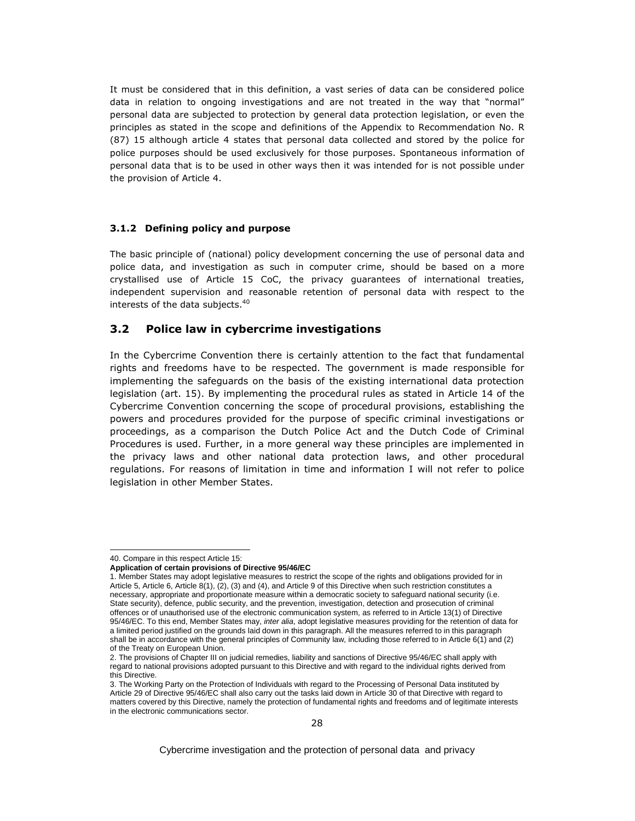It must be considered that in this definition, a vast series of data can be considered police data in relation to ongoing investigations and are not treated in the way that "normal" personal data are subjected to protection by general data protection legislation, or even the principles as stated in the scope and definitions of the Appendix to Recommendation No. R (87) 15 although article 4 states that personal data collected and stored by the police for police purposes should be used exclusively for those purposes. Spontaneous information of personal data that is to be used in other ways then it was intended for is not possible under the provision of Article 4.

### 3.1.2 Defining policy and purpose

The basic principle of (national) policy development concerning the use of personal data and police data, and investigation as such in computer crime, should be based on a more crystallised use of Article 15 CoC, the privacy guarantees of international treaties, independent supervision and reasonable retention of personal data with respect to the interests of the data subjects.<sup>40</sup>

### 3.2 Police law in cybercrime investigations

In the Cybercrime Convention there is certainly attention to the fact that fundamental rights and freedoms have to be respected. The government is made responsible for implementing the safeguards on the basis of the existing international data protection legislation (art. 15). By implementing the procedural rules as stated in Article 14 of the Cybercrime Convention concerning the scope of procedural provisions, establishing the powers and procedures provided for the purpose of specific criminal investigations or proceedings, as a comparison the Dutch Police Act and the Dutch Code of Criminal Procedures is used. Further, in a more general way these principles are implemented in the privacy laws and other national data protection laws, and other procedural regulations. For reasons of limitation in time and information I will not refer to police legislation in other Member States.

i, 40. Compare in this respect Article 15:

**Application of certain provisions of Directive 95/46/EC** 

<sup>1.</sup> Member States may adopt legislative measures to restrict the scope of the rights and obligations provided for in Article 5, Article 6, Article 8(1), (2), (3) and (4), and Article 9 of this Directive when such restriction constitutes a necessary, appropriate and proportionate measure within a democratic society to safeguard national security (i.e. State security), defence, public security, and the prevention, investigation, detection and prosecution of criminal offences or of unauthorised use of the electronic communication system, as referred to in Article 13(1) of Directive 95/46/EC. To this end, Member States may, inter alia, adopt legislative measures providing for the retention of data for a limited period justified on the grounds laid down in this paragraph. All the measures referred to in this paragraph shall be in accordance with the general principles of Community law, including those referred to in Article 6(1) and (2) of the Treaty on European Union.

<sup>2.</sup> The provisions of Chapter III on judicial remedies, liability and sanctions of Directive 95/46/EC shall apply with regard to national provisions adopted pursuant to this Directive and with regard to the individual rights derived from this Directive.

<sup>3.</sup> The Working Party on the Protection of Individuals with regard to the Processing of Personal Data instituted by Article 29 of Directive 95/46/EC shall also carry out the tasks laid down in Article 30 of that Directive with regard to matters covered by this Directive, namely the protection of fundamental rights and freedoms and of legitimate interests in the electronic communications sector.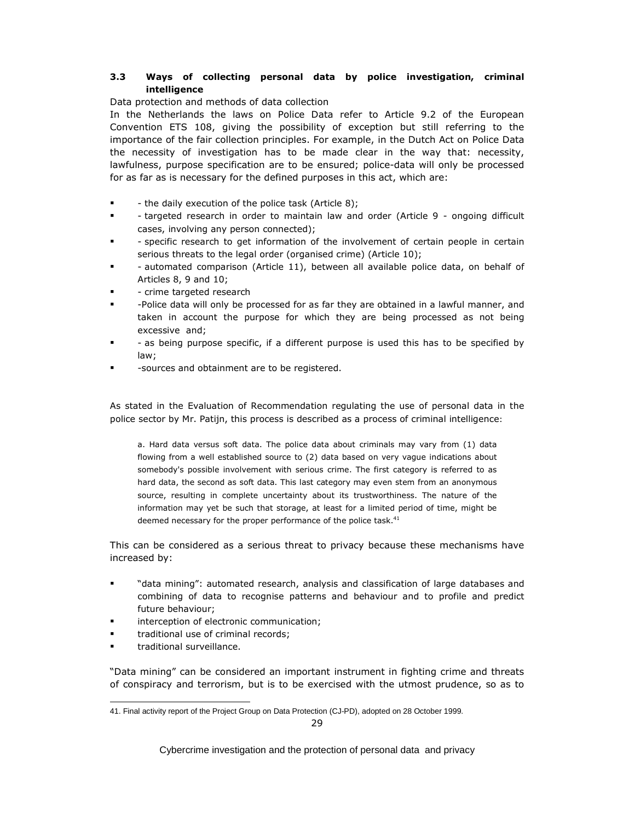# 3.3 Ways of collecting personal data by police investigation, criminal intelligence

Data protection and methods of data collection

In the Netherlands the laws on Police Data refer to Article 9.2 of the European Convention ETS 108, giving the possibility of exception but still referring to the importance of the fair collection principles. For example, in the Dutch Act on Police Data the necessity of investigation has to be made clear in the way that: necessity, lawfulness, purpose specification are to be ensured; police-data will only be processed for as far as is necessary for the defined purposes in this act, which are:

- $\blacksquare$  the daily execution of the police task (Article 8);
- targeted research in order to maintain law and order (Article 9 ongoing difficult cases, involving any person connected);
- specific research to get information of the involvement of certain people in certain serious threats to the legal order (organised crime) (Article 10);
- automated comparison (Article 11), between all available police data, on behalf of Articles 8, 9 and 10;
- crime targeted research
- -Police data will only be processed for as far they are obtained in a lawful manner, and taken in account the purpose for which they are being processed as not being excessive and;
- as being purpose specific, if a different purpose is used this has to be specified by law;
- -sources and obtainment are to be registered.

As stated in the Evaluation of Recommendation regulating the use of personal data in the police sector by Mr. Patijn, this process is described as a process of criminal intelligence:

a. Hard data versus soft data. The police data about criminals may vary from (1) data flowing from a well established source to (2) data based on very vague indications about somebody's possible involvement with serious crime. The first category is referred to as hard data, the second as soft data. This last category may even stem from an anonymous source, resulting in complete uncertainty about its trustworthiness. The nature of the information may yet be such that storage, at least for a limited period of time, might be deemed necessary for the proper performance of the police task.<sup>41</sup>

This can be considered as a serious threat to privacy because these mechanisms have increased by:

- "data mining": automated research, analysis and classification of large databases and combining of data to recognise patterns and behaviour and to profile and predict future behaviour;
- interception of electronic communication;
- traditional use of criminal records;
- traditional surveillance.

"Data mining" can be considered an important instrument in fighting crime and threats of conspiracy and terrorism, but is to be exercised with the utmost prudence, so as to

i, 41. Final activity report of the Project Group on Data Protection (CJ-PD), adopted on 28 October 1999.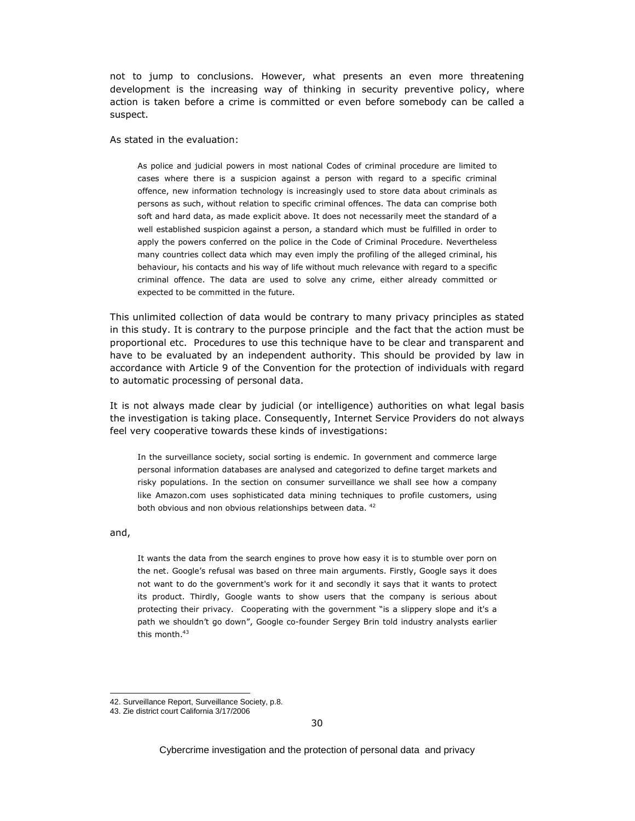not to jump to conclusions. However, what presents an even more threatening development is the increasing way of thinking in security preventive policy, where action is taken before a crime is committed or even before somebody can be called a suspect.

As stated in the evaluation:

As police and judicial powers in most national Codes of criminal procedure are limited to cases where there is a suspicion against a person with regard to a specific criminal offence, new information technology is increasingly used to store data about criminals as persons as such, without relation to specific criminal offences. The data can comprise both soft and hard data, as made explicit above. It does not necessarily meet the standard of a well established suspicion against a person, a standard which must be fulfilled in order to apply the powers conferred on the police in the Code of Criminal Procedure. Nevertheless many countries collect data which may even imply the profiling of the alleged criminal, his behaviour, his contacts and his way of life without much relevance with regard to a specific criminal offence. The data are used to solve any crime, either already committed or expected to be committed in the future.

This unlimited collection of data would be contrary to many privacy principles as stated in this study. It is contrary to the purpose principle and the fact that the action must be proportional etc. Procedures to use this technique have to be clear and transparent and have to be evaluated by an independent authority. This should be provided by law in accordance with Article 9 of the Convention for the protection of individuals with regard to automatic processing of personal data.

It is not always made clear by judicial (or intelligence) authorities on what legal basis the investigation is taking place. Consequently, Internet Service Providers do not always feel very cooperative towards these kinds of investigations:

In the surveillance society, social sorting is endemic. In government and commerce large personal information databases are analysed and categorized to define target markets and risky populations. In the section on consumer surveillance we shall see how a company like Amazon.com uses sophisticated data mining techniques to profile customers, using both obvious and non obvious relationships between data. <sup>42</sup>

and,

i,

It wants the data from the search engines to prove how easy it is to stumble over porn on the net. Google's refusal was based on three main arguments. Firstly, Google says it does not want to do the government's work for it and secondly it says that it wants to protect its product. Thirdly, Google wants to show users that the company is serious about protecting their privacy. Cooperating with the government "is a slippery slope and it's a path we shouldn't go down", Google co-founder Sergey Brin told industry analysts earlier this month.<sup>43</sup>

<sup>42.</sup> Surveillance Report, Surveillance Society, p.8.

<sup>43.</sup> Zie district court California 3/17/2006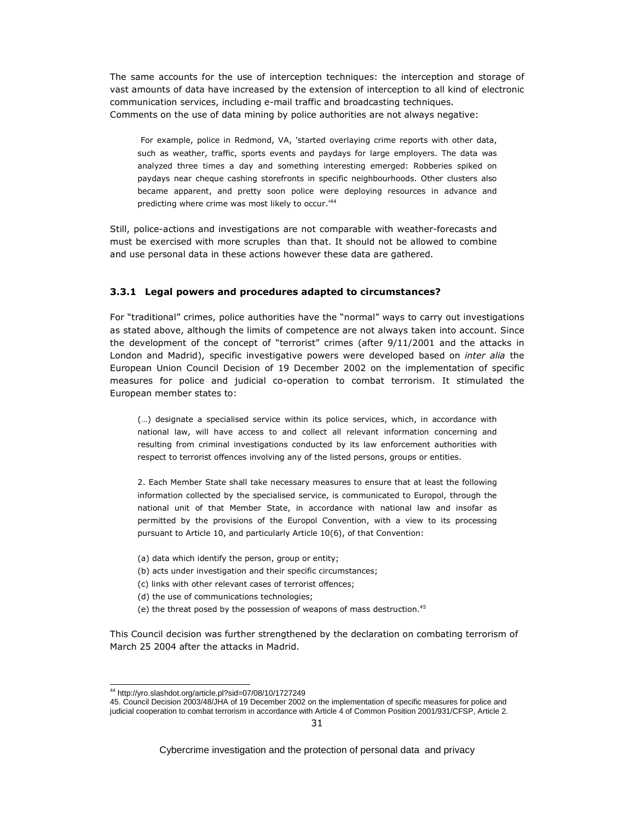The same accounts for the use of interception techniques: the interception and storage of vast amounts of data have increased by the extension of interception to all kind of electronic communication services, including e-mail traffic and broadcasting techniques. Comments on the use of data mining by police authorities are not always negative:

For example, police in Redmond, VA, 'started overlaying crime reports with other data, such as weather, traffic, sports events and paydays for large employers. The data was analyzed three times a day and something interesting emerged: Robberies spiked on paydays near cheque cashing storefronts in specific neighbourhoods. Other clusters also became apparent, and pretty soon police were deploying resources in advance and predicting where crime was most likely to occur.<sup>144</sup>

Still, police-actions and investigations are not comparable with weather-forecasts and must be exercised with more scruples than that. It should not be allowed to combine and use personal data in these actions however these data are gathered.

#### 3.3.1 Legal powers and procedures adapted to circumstances?

For "traditional" crimes, police authorities have the "normal" ways to carry out investigations as stated above, although the limits of competence are not always taken into account. Since the development of the concept of "terrorist" crimes (after 9/11/2001 and the attacks in London and Madrid), specific investigative powers were developed based on *inter alia* the European Union Council Decision of 19 December 2002 on the implementation of specific measures for police and judicial co-operation to combat terrorism. It stimulated the European member states to:

(…) designate a specialised service within its police services, which, in accordance with national law, will have access to and collect all relevant information concerning and resulting from criminal investigations conducted by its law enforcement authorities with respect to terrorist offences involving any of the listed persons, groups or entities.

2. Each Member State shall take necessary measures to ensure that at least the following information collected by the specialised service, is communicated to Europol, through the national unit of that Member State, in accordance with national law and insofar as permitted by the provisions of the Europol Convention, with a view to its processing pursuant to Article 10, and particularly Article 10(6), of that Convention:

- (a) data which identify the person, group or entity;
- (b) acts under investigation and their specific circumstances;
- (c) links with other relevant cases of terrorist offences;
- (d) the use of communications technologies;
- (e) the threat posed by the possession of weapons of mass destruction. $45$

This Council decision was further strengthened by the declaration on combating terrorism of March 25 2004 after the attacks in Madrid.

t <sup>44</sup> http://yro.slashdot.org/article.pl?sid=07/08/10/1727249

<sup>45.</sup> Council Decision 2003/48/JHA of 19 December 2002 on the implementation of specific measures for police and judicial cooperation to combat terrorism in accordance with Article 4 of Common Position 2001/931/CFSP, Article 2.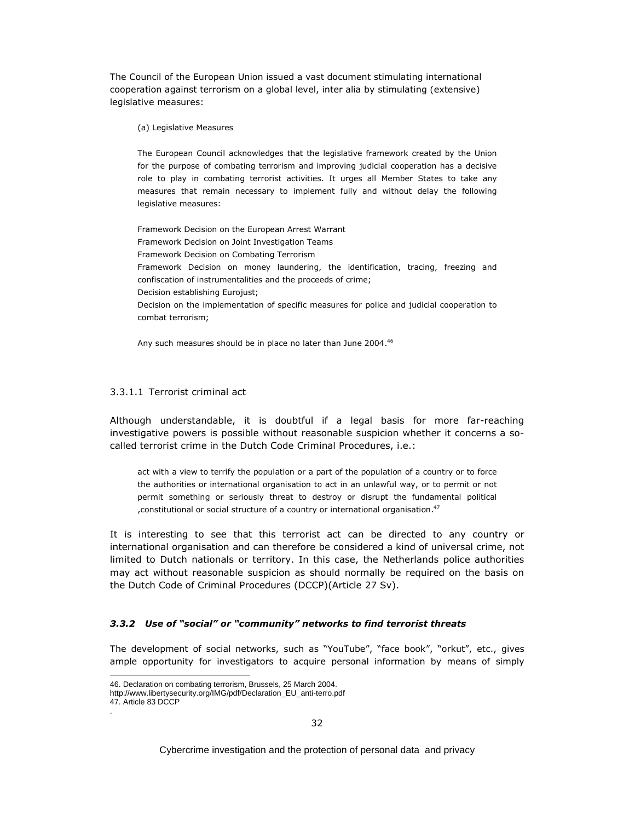The Council of the European Union issued a vast document stimulating international cooperation against terrorism on a global level, inter alia by stimulating (extensive) legislative measures:

(a) Legislative Measures

The European Council acknowledges that the legislative framework created by the Union for the purpose of combating terrorism and improving judicial cooperation has a decisive role to play in combating terrorist activities. It urges all Member States to take any measures that remain necessary to implement fully and without delay the following legislative measures:

Framework Decision on the European Arrest Warrant Framework Decision on Joint Investigation Teams Framework Decision on Combating Terrorism Framework Decision on money laundering, the identification, tracing, freezing and confiscation of instrumentalities and the proceeds of crime; Decision establishing Eurojust; Decision on the implementation of specific measures for police and judicial cooperation to combat terrorism;

Any such measures should be in place no later than June 2004.<sup>46</sup>

### 3.3.1.1 Terrorist criminal act

Although understandable, it is doubtful if a legal basis for more far-reaching investigative powers is possible without reasonable suspicion whether it concerns a socalled terrorist crime in the Dutch Code Criminal Procedures, i.e.:

act with a view to terrify the population or a part of the population of a country or to force the authorities or international organisation to act in an unlawful way, or to permit or not permit something or seriously threat to destroy or disrupt the fundamental political , constitutional or social structure of a country or international organisation.<sup>47</sup>

It is interesting to see that this terrorist act can be directed to any country or international organisation and can therefore be considered a kind of universal crime, not limited to Dutch nationals or territory. In this case, the Netherlands police authorities may act without reasonable suspicion as should normally be required on the basis on the Dutch Code of Criminal Procedures (DCCP)(Article 27 Sv).

### 3.3.2 Use of "social" or "community" networks to find terrorist threats

The development of social networks, such as "YouTube", "face book", "orkut", etc., gives ample opportunity for investigators to acquire personal information by means of simply

i,

<sup>46.</sup> Declaration on combating terrorism, Brussels, 25 March 2004.

http://www.libertysecurity.org/IMG/pdf/Declaration\_EU\_anti-terro.pdf

<sup>47.</sup> Article 83 DCCP .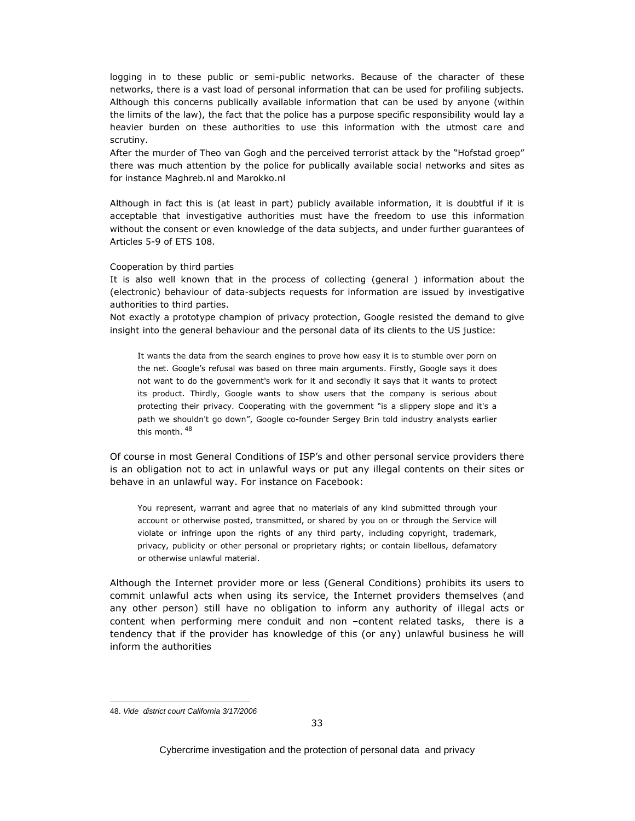logging in to these public or semi-public networks. Because of the character of these networks, there is a vast load of personal information that can be used for profiling subjects. Although this concerns publically available information that can be used by anyone (within the limits of the law), the fact that the police has a purpose specific responsibility would lay a heavier burden on these authorities to use this information with the utmost care and scrutiny.

After the murder of Theo van Gogh and the perceived terrorist attack by the "Hofstad groep" there was much attention by the police for publically available social networks and sites as for instance Maghreb.nl and Marokko.nl

Although in fact this is (at least in part) publicly available information, it is doubtful if it is acceptable that investigative authorities must have the freedom to use this information without the consent or even knowledge of the data subjects, and under further guarantees of Articles 5-9 of ETS 108.

#### Cooperation by third parties

It is also well known that in the process of collecting (general ) information about the (electronic) behaviour of data-subjects requests for information are issued by investigative authorities to third parties.

Not exactly a prototype champion of privacy protection, Google resisted the demand to give insight into the general behaviour and the personal data of its clients to the US justice:

It wants the data from the search engines to prove how easy it is to stumble over porn on the net. Google's refusal was based on three main arguments. Firstly, Google says it does not want to do the government's work for it and secondly it says that it wants to protect its product. Thirdly, Google wants to show users that the company is serious about protecting their privacy. Cooperating with the government "is a slippery slope and it's a path we shouldn't go down", Google co-founder Sergey Brin told industry analysts earlier this month.<sup>48</sup>

Of course in most General Conditions of ISP's and other personal service providers there is an obligation not to act in unlawful ways or put any illegal contents on their sites or behave in an unlawful way. For instance on Facebook:

You represent, warrant and agree that no materials of any kind submitted through your account or otherwise posted, transmitted, or shared by you on or through the Service will violate or infringe upon the rights of any third party, including copyright, trademark, privacy, publicity or other personal or proprietary rights; or contain libellous, defamatory or otherwise unlawful material.

Although the Internet provider more or less (General Conditions) prohibits its users to commit unlawful acts when using its service, the Internet providers themselves (and any other person) still have no obligation to inform any authority of illegal acts or content when performing mere conduit and non –content related tasks, there is a tendency that if the provider has knowledge of this (or any) unlawful business he will inform the authorities

i, 48. Vide district court California 3/17/2006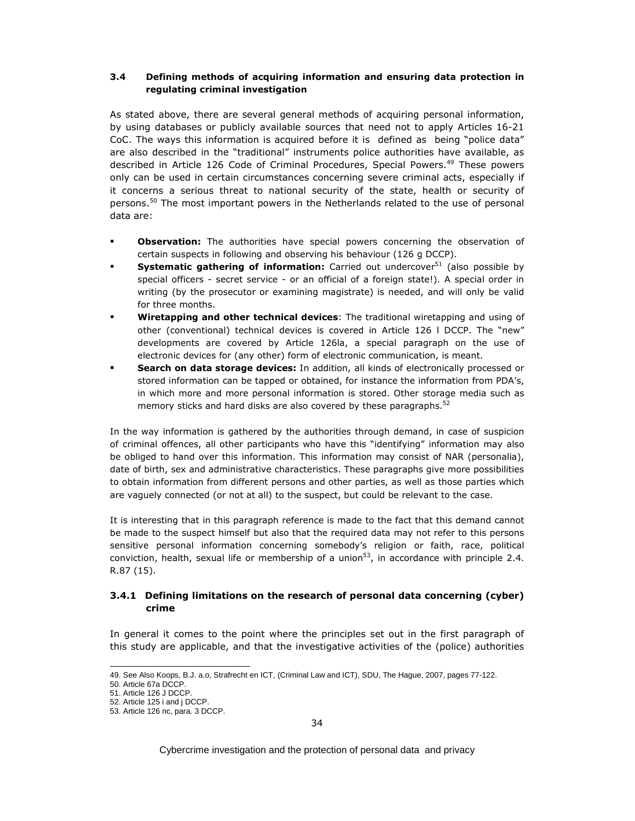### 3.4 Defining methods of acquiring information and ensuring data protection in regulating criminal investigation

As stated above, there are several general methods of acquiring personal information, by using databases or publicly available sources that need not to apply Articles 16-21 CoC. The ways this information is acquired before it is defined as being "police data" are also described in the "traditional" instruments police authorities have available, as described in Article 126 Code of Criminal Procedures, Special Powers.<sup>49</sup> These powers only can be used in certain circumstances concerning severe criminal acts, especially if it concerns a serious threat to national security of the state, health or security of persons.<sup>50</sup> The most important powers in the Netherlands related to the use of personal data are:

- **Observation:** The authorities have special powers concerning the observation of certain suspects in following and observing his behaviour (126 g DCCP).
- **Systematic gathering of information:** Carried out undercover<sup>51</sup> (also possible by special officers - secret service - or an official of a foreign state!). A special order in writing (by the prosecutor or examining magistrate) is needed, and will only be valid for three months.
- Wiretapping and other technical devices: The traditional wiretapping and using of other (conventional) technical devices is covered in Article 126 l DCCP. The "new" developments are covered by Article 126la, a special paragraph on the use of electronic devices for (any other) form of electronic communication, is meant.
- Search on data storage devices: In addition, all kinds of electronically processed or stored information can be tapped or obtained, for instance the information from PDA's, in which more and more personal information is stored. Other storage media such as memory sticks and hard disks are also covered by these paragraphs.<sup>52</sup>

In the way information is gathered by the authorities through demand, in case of suspicion of criminal offences, all other participants who have this "identifying" information may also be obliged to hand over this information. This information may consist of NAR (personalia), date of birth, sex and administrative characteristics. These paragraphs give more possibilities to obtain information from different persons and other parties, as well as those parties which are vaguely connected (or not at all) to the suspect, but could be relevant to the case.

It is interesting that in this paragraph reference is made to the fact that this demand cannot be made to the suspect himself but also that the required data may not refer to this persons sensitive personal information concerning somebody's religion or faith, race, political conviction, health, sexual life or membership of a union<sup>53</sup>, in accordance with principle 2.4. R.87 (15).

## 3.4.1 Defining limitations on the research of personal data concerning (cyber) crime

In general it comes to the point where the principles set out in the first paragraph of this study are applicable, and that the investigative activities of the (police) authorities

i, 49. See Also Koops, B.J. a.o, Strafrecht en ICT, (Criminal Law and ICT), SDU, The Hague, 2007, pages 77-122.

<sup>50.</sup> Article 67a DCCP.

<sup>51.</sup> Article 126 J DCCP.

<sup>52.</sup> Article 125 i and j DCCP.

<sup>53.</sup> Article 126 nc, para. 3 DCCP.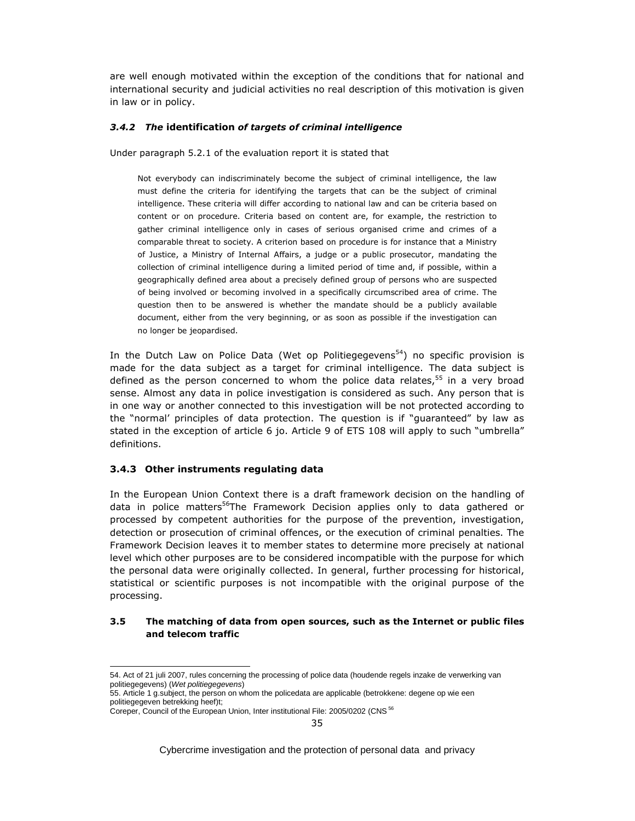are well enough motivated within the exception of the conditions that for national and international security and judicial activities no real description of this motivation is given in law or in policy.

### 3.4.2 The identification of targets of criminal intelligence

Under paragraph 5.2.1 of the evaluation report it is stated that

Not everybody can indiscriminately become the subject of criminal intelligence, the law must define the criteria for identifying the targets that can be the subject of criminal intelligence. These criteria will differ according to national law and can be criteria based on content or on procedure. Criteria based on content are, for example, the restriction to gather criminal intelligence only in cases of serious organised crime and crimes of a comparable threat to society. A criterion based on procedure is for instance that a Ministry of Justice, a Ministry of Internal Affairs, a judge or a public prosecutor, mandating the collection of criminal intelligence during a limited period of time and, if possible, within a geographically defined area about a precisely defined group of persons who are suspected of being involved or becoming involved in a specifically circumscribed area of crime. The question then to be answered is whether the mandate should be a publicly available document, either from the very beginning, or as soon as possible if the investigation can no longer be jeopardised.

In the Dutch Law on Police Data (Wet op Politiegegevens<sup>54</sup>) no specific provision is made for the data subject as a target for criminal intelligence. The data subject is defined as the person concerned to whom the police data relates, $55$  in a very broad sense. Almost any data in police investigation is considered as such. Any person that is in one way or another connected to this investigation will be not protected according to the "normal' principles of data protection. The question is if "guaranteed" by law as stated in the exception of article 6 jo. Article 9 of ETS 108 will apply to such "umbrella" definitions.

### 3.4.3 Other instruments regulating data

In the European Union Context there is a draft framework decision on the handling of data in police matters<sup>56</sup>The Framework Decision applies only to data gathered or processed by competent authorities for the purpose of the prevention, investigation, detection or prosecution of criminal offences, or the execution of criminal penalties. The Framework Decision leaves it to member states to determine more precisely at national level which other purposes are to be considered incompatible with the purpose for which the personal data were originally collected. In general, further processing for historical, statistical or scientific purposes is not incompatible with the original purpose of the processing.

### 3.5 The matching of data from open sources, such as the Internet or public files and telecom traffic

i, 54. Act of 21 juli 2007, rules concerning the processing of police data (houdende regels inzake de verwerking van politiegegevens) (Wet politiegegevens)

<sup>55.</sup> Article 1 g.subject, the person on whom the policedata are applicable (betrokkene: degene op wie een politiegegeven betrekking heef)t;

Coreper, Council of the European Union, Inter institutional File: 2005/0202 (CNS<sup>56</sup>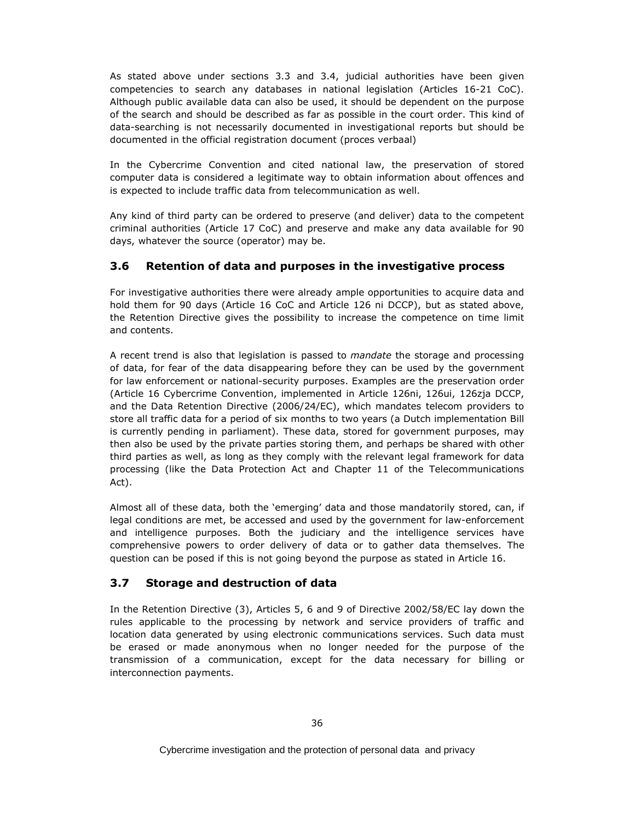As stated above under sections 3.3 and 3.4, judicial authorities have been given competencies to search any databases in national legislation (Articles 16-21 CoC). Although public available data can also be used, it should be dependent on the purpose of the search and should be described as far as possible in the court order. This kind of data-searching is not necessarily documented in investigational reports but should be documented in the official registration document (proces verbaal)

In the Cybercrime Convention and cited national law, the preservation of stored computer data is considered a legitimate way to obtain information about offences and is expected to include traffic data from telecommunication as well.

Any kind of third party can be ordered to preserve (and deliver) data to the competent criminal authorities (Article 17 CoC) and preserve and make any data available for 90 days, whatever the source (operator) may be.

# 3.6 Retention of data and purposes in the investigative process

For investigative authorities there were already ample opportunities to acquire data and hold them for 90 days (Article 16 CoC and Article 126 ni DCCP), but as stated above, the Retention Directive gives the possibility to increase the competence on time limit and contents.

A recent trend is also that legislation is passed to *mandate* the storage and processing of data, for fear of the data disappearing before they can be used by the government for law enforcement or national-security purposes. Examples are the preservation order (Article 16 Cybercrime Convention, implemented in Article 126ni, 126ui, 126zja DCCP, and the Data Retention Directive (2006/24/EC), which mandates telecom providers to store all traffic data for a period of six months to two years (a Dutch implementation Bill is currently pending in parliament). These data, stored for government purposes, may then also be used by the private parties storing them, and perhaps be shared with other third parties as well, as long as they comply with the relevant legal framework for data processing (like the Data Protection Act and Chapter 11 of the Telecommunications Act).

Almost all of these data, both the 'emerging' data and those mandatorily stored, can, if legal conditions are met, be accessed and used by the government for law-enforcement and intelligence purposes. Both the judiciary and the intelligence services have comprehensive powers to order delivery of data or to gather data themselves. The question can be posed if this is not going beyond the purpose as stated in Article 16.

# 3.7 Storage and destruction of data

In the Retention Directive (3), Articles 5, 6 and 9 of Directive 2002/58/EC lay down the rules applicable to the processing by network and service providers of traffic and location data generated by using electronic communications services. Such data must be erased or made anonymous when no longer needed for the purpose of the transmission of a communication, except for the data necessary for billing or interconnection payments.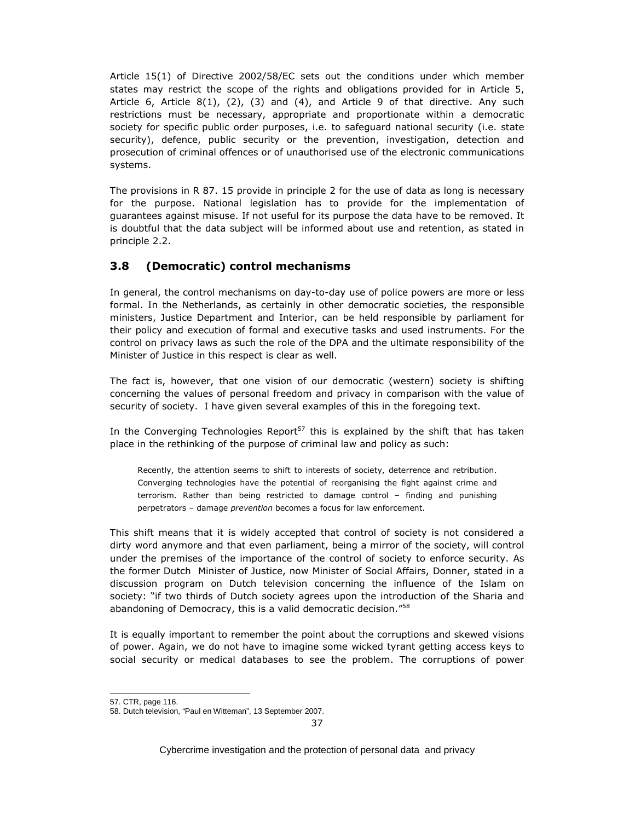Article 15(1) of Directive 2002/58/EC sets out the conditions under which member states may restrict the scope of the rights and obligations provided for in Article 5, Article 6, Article 8(1), (2), (3) and (4), and Article 9 of that directive. Any such restrictions must be necessary, appropriate and proportionate within a democratic society for specific public order purposes, i.e. to safeguard national security (i.e. state security), defence, public security or the prevention, investigation, detection and prosecution of criminal offences or of unauthorised use of the electronic communications systems.

The provisions in R 87. 15 provide in principle 2 for the use of data as long is necessary for the purpose. National legislation has to provide for the implementation of guarantees against misuse. If not useful for its purpose the data have to be removed. It is doubtful that the data subject will be informed about use and retention, as stated in principle 2.2.

# 3.8 (Democratic) control mechanisms

In general, the control mechanisms on day-to-day use of police powers are more or less formal. In the Netherlands, as certainly in other democratic societies, the responsible ministers, Justice Department and Interior, can be held responsible by parliament for their policy and execution of formal and executive tasks and used instruments. For the control on privacy laws as such the role of the DPA and the ultimate responsibility of the Minister of Justice in this respect is clear as well.

The fact is, however, that one vision of our democratic (western) society is shifting concerning the values of personal freedom and privacy in comparison with the value of security of society. I have given several examples of this in the foregoing text.

In the Converging Technologies Report<sup>57</sup> this is explained by the shift that has taken place in the rethinking of the purpose of criminal law and policy as such:

Recently, the attention seems to shift to interests of society, deterrence and retribution. Converging technologies have the potential of reorganising the fight against crime and terrorism. Rather than being restricted to damage control – finding and punishing perpetrators - damage *prevention* becomes a focus for law enforcement.

This shift means that it is widely accepted that control of society is not considered a dirty word anymore and that even parliament, being a mirror of the society, will control under the premises of the importance of the control of society to enforce security. As the former Dutch Minister of Justice, now Minister of Social Affairs, Donner, stated in a discussion program on Dutch television concerning the influence of the Islam on society: "if two thirds of Dutch society agrees upon the introduction of the Sharia and abandoning of Democracy, this is a valid democratic decision."<sup>58</sup>

It is equally important to remember the point about the corruptions and skewed visions of power. Again, we do not have to imagine some wicked tyrant getting access keys to social security or medical databases to see the problem. The corruptions of power

i, 57. CTR, page 116.

<sup>58.</sup> Dutch television, "Paul en Witteman", 13 September 2007.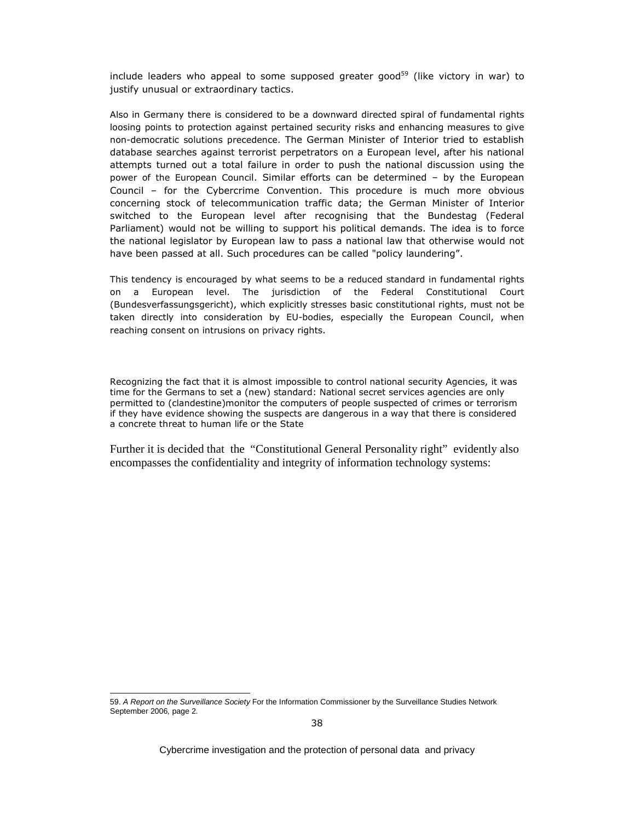include leaders who appeal to some supposed greater good $59$  (like victory in war) to justify unusual or extraordinary tactics.

Also in Germany there is considered to be a downward directed spiral of fundamental rights loosing points to protection against pertained security risks and enhancing measures to give non-democratic solutions precedence. The German Minister of Interior tried to establish database searches against terrorist perpetrators on a European level, after his national attempts turned out a total failure in order to push the national discussion using the power of the European Council. Similar efforts can be determined – by the European Council – for the Cybercrime Convention. This procedure is much more obvious concerning stock of telecommunication traffic data; the German Minister of Interior switched to the European level after recognising that the Bundestag (Federal Parliament) would not be willing to support his political demands. The idea is to force the national legislator by European law to pass a national law that otherwise would not have been passed at all. Such procedures can be called "policy laundering".

This tendency is encouraged by what seems to be a reduced standard in fundamental rights on a European level. The jurisdiction of the Federal Constitutional Court (Bundesverfassungsgericht), which explicitly stresses basic constitutional rights, must not be taken directly into consideration by EU-bodies, especially the European Council, when reaching consent on intrusions on privacy rights.

Recognizing the fact that it is almost impossible to control national security Agencies, it was time for the Germans to set a (new) standard: National secret services agencies are only permitted to (clandestine)monitor the computers of people suspected of crimes or terrorism if they have evidence showing the suspects are dangerous in a way that there is considered a concrete threat to human life or the State

Further it is decided that the "Constitutional General Personality right" evidently also encompasses the confidentiality and integrity of information technology systems:

i,

<sup>59.</sup> A Report on the Surveillance Society For the Information Commissioner by the Surveillance Studies Network September 2006, page 2.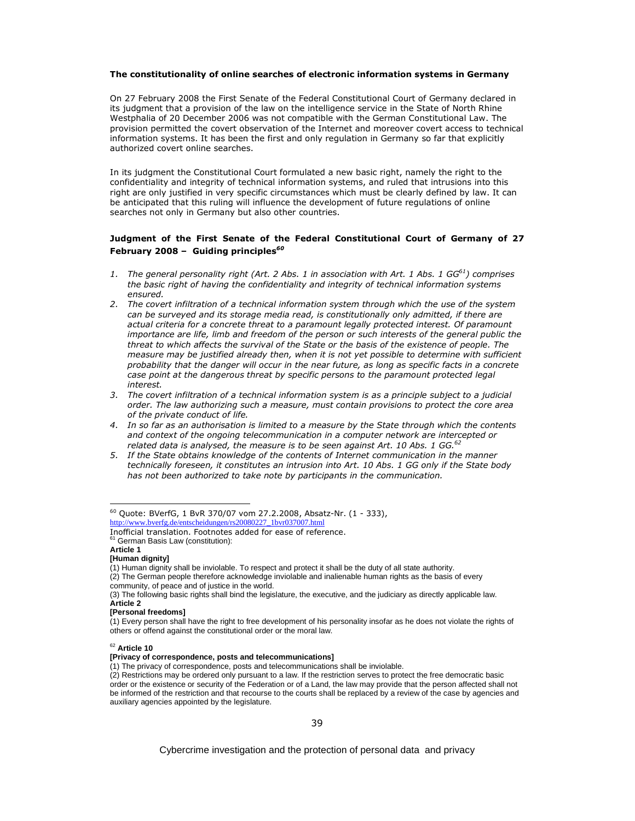#### The constitutionality of online searches of electronic information systems in Germany

On 27 February 2008 the First Senate of the Federal Constitutional Court of Germany declared in its judgment that a provision of the law on the intelligence service in the State of North Rhine Westphalia of 20 December 2006 was not compatible with the German Constitutional Law. The provision permitted the covert observation of the Internet and moreover covert access to technical information systems. It has been the first and only regulation in Germany so far that explicitly authorized covert online searches.

In its judgment the Constitutional Court formulated a new basic right, namely the right to the confidentiality and integrity of technical information systems, and ruled that intrusions into this right are only justified in very specific circumstances which must be clearly defined by law. It can be anticipated that this ruling will influence the development of future regulations of online searches not only in Germany but also other countries.

### Judgment of the First Senate of the Federal Constitutional Court of Germany of 27 February 2008 – Guiding principles<sup>60</sup>

- 1. The general personality right (Art. 2 Abs. 1 in association with Art. 1 Abs. 1  $GG<sup>61</sup>$ ) comprises the basic right of having the confidentiality and integrity of technical information systems ensured.
- 2. The covert infiltration of a technical information system through which the use of the system can be surveyed and its storage media read, is constitutionally only admitted, if there are actual criteria for a concrete threat to a paramount legally protected interest. Of paramount importance are life, limb and freedom of the person or such interests of the general public the threat to which affects the survival of the State or the basis of the existence of people. The measure may be justified already then, when it is not yet possible to determine with sufficient probability that the danger will occur in the near future, as long as specific facts in a concrete case point at the dangerous threat by specific persons to the paramount protected legal interest.
- 3. The covert infiltration of a technical information system is as a principle subject to a judicial order. The law authorizing such a measure, must contain provisions to protect the core area of the private conduct of life.
- 4. In so far as an authorisation is limited to a measure by the State through which the contents and context of the ongoing telecommunication in a computer network are intercepted or related data is analysed, the measure is to be seen against Art. 10 Abs. 1 GG. $^{62}$
- 5. If the State obtains knowledge of the contents of Internet communication in the manner technically foreseen, it constitutes an intrusion into Art. 10 Abs. 1 GG only if the State body has not been authorized to take note by participants in the communication.

Inofficial translation. Footnotes added for ease of reference.

German Basis Law (constitution):

#### **Article 1 [Human dignity]**

i,

(1) Human dignity shall be inviolable. To respect and protect it shall be the duty of all state authority.

**Article 2 [Personal freedoms]** 

### <sup>62</sup> **Article 10**

 $60$  Quote: BVerfG, 1 BvR 370/07 vom 27.2.2008, Absatz-Nr.  $(1 - 333)$ , http://www.bverfg.de/entscheidungen/rs20080227\_1bvr037007.html

<sup>(2)</sup> The German people therefore acknowledge inviolable and inalienable human rights as the basis of every community, of peace and of justice in the world.

<sup>(3)</sup> The following basic rights shall bind the legislature, the executive, and the judiciary as directly applicable law.

<sup>(1)</sup> Every person shall have the right to free development of his personality insofar as he does not violate the rights of others or offend against the constitutional order or the moral law.

**<sup>[</sup>Privacy of correspondence, posts and telecommunications]** 

<sup>(1)</sup> The privacy of correspondence, posts and telecommunications shall be inviolable.

<sup>(2)</sup> Restrictions may be ordered only pursuant to a law. If the restriction serves to protect the free democratic basic order or the existence or security of the Federation or of a Land, the law may provide that the person affected shall not be informed of the restriction and that recourse to the courts shall be replaced by a review of the case by agencies and auxiliary agencies appointed by the legislature.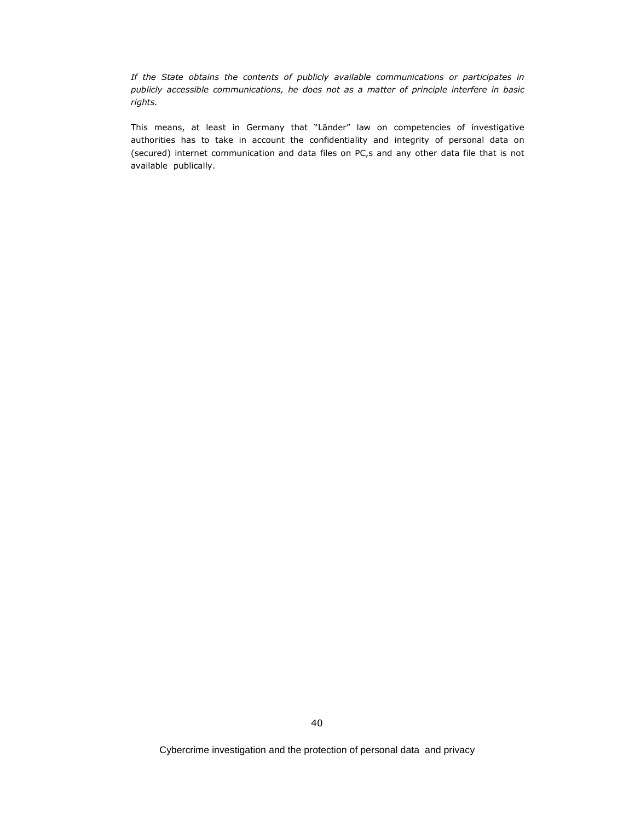If the State obtains the contents of publicly available communications or participates in publicly accessible communications, he does not as a matter of principle interfere in basic rights.

This means, at least in Germany that "Länder" law on competencies of investigative authorities has to take in account the confidentiality and integrity of personal data on (secured) internet communication and data files on PC,s and any other data file that is not available publically.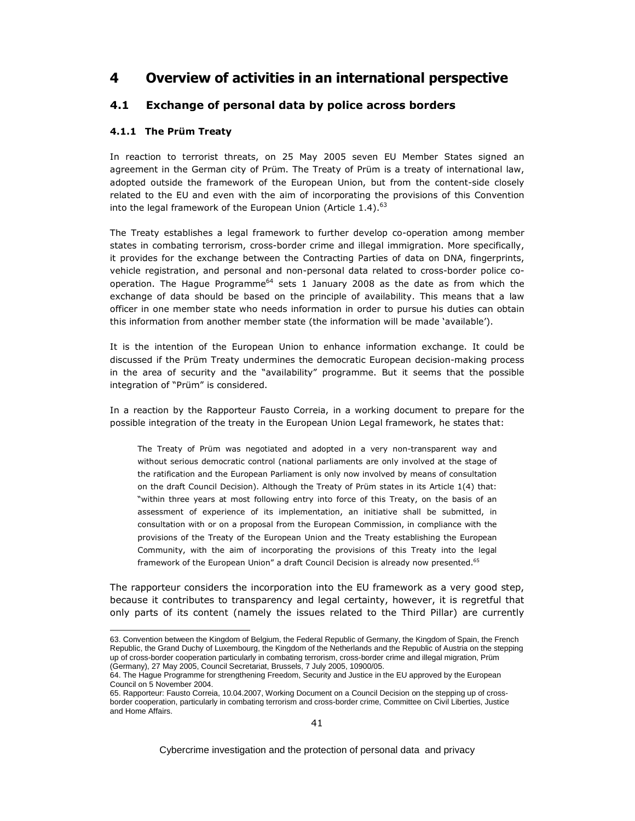# 4 Overview of activities in an international perspective

# 4.1 Exchange of personal data by police across borders

# 4.1.1 The Prüm Treaty

In reaction to terrorist threats, on 25 May 2005 seven EU Member States signed an agreement in the German city of Prüm. The Treaty of Prüm is a treaty of international law, adopted outside the framework of the European Union, but from the content-side closely related to the EU and even with the aim of incorporating the provisions of this Convention into the legal framework of the European Union (Article 1.4).<sup>63</sup>

The Treaty establishes a legal framework to further develop co-operation among member states in combating terrorism, cross-border crime and illegal immigration. More specifically, it provides for the exchange between the Contracting Parties of data on DNA, fingerprints, vehicle registration, and personal and non-personal data related to cross-border police cooperation. The Hague Programme<sup>64</sup> sets 1 January 2008 as the date as from which the exchange of data should be based on the principle of availability. This means that a law officer in one member state who needs information in order to pursue his duties can obtain this information from another member state (the information will be made 'available').

It is the intention of the European Union to enhance information exchange. It could be discussed if the Prüm Treaty undermines the democratic European decision-making process in the area of security and the "availability" programme. But it seems that the possible integration of "Prüm" is considered.

In a reaction by the Rapporteur Fausto Correia, in a working document to prepare for the possible integration of the treaty in the European Union Legal framework, he states that:

The Treaty of Prüm was negotiated and adopted in a very non-transparent way and without serious democratic control (national parliaments are only involved at the stage of the ratification and the European Parliament is only now involved by means of consultation on the draft Council Decision). Although the Treaty of Prüm states in its Article 1(4) that: "within three years at most following entry into force of this Treaty, on the basis of an assessment of experience of its implementation, an initiative shall be submitted, in consultation with or on a proposal from the European Commission, in compliance with the provisions of the Treaty of the European Union and the Treaty establishing the European Community, with the aim of incorporating the provisions of this Treaty into the legal framework of the European Union" a draft Council Decision is already now presented.<sup>65</sup>

The rapporteur considers the incorporation into the EU framework as a very good step, because it contributes to transparency and legal certainty, however, it is regretful that only parts of its content (namely the issues related to the Third Pillar) are currently

<sup>-</sup>63. Convention between the Kingdom of Belgium, the Federal Republic of Germany, the Kingdom of Spain, the French Republic, the Grand Duchy of Luxembourg, the Kingdom of the Netherlands and the Republic of Austria on the stepping up of cross-border cooperation particularly in combating terrorism, cross-border crime and illegal migration, Prüm (Germany), 27 May 2005, Council Secretariat, Brussels, 7 July 2005, 10900/05.

<sup>64.</sup> The Hague Programme for strengthening Freedom, Security and Justice in the EU approved by the European Council on 5 November 2004.

<sup>65.</sup> Rapporteur: Fausto Correia, 10.04.2007, Working Document on a Council Decision on the stepping up of crossborder cooperation, particularly in combating terrorism and cross-border crime, Committee on Civil Liberties, Justice and Home Affairs.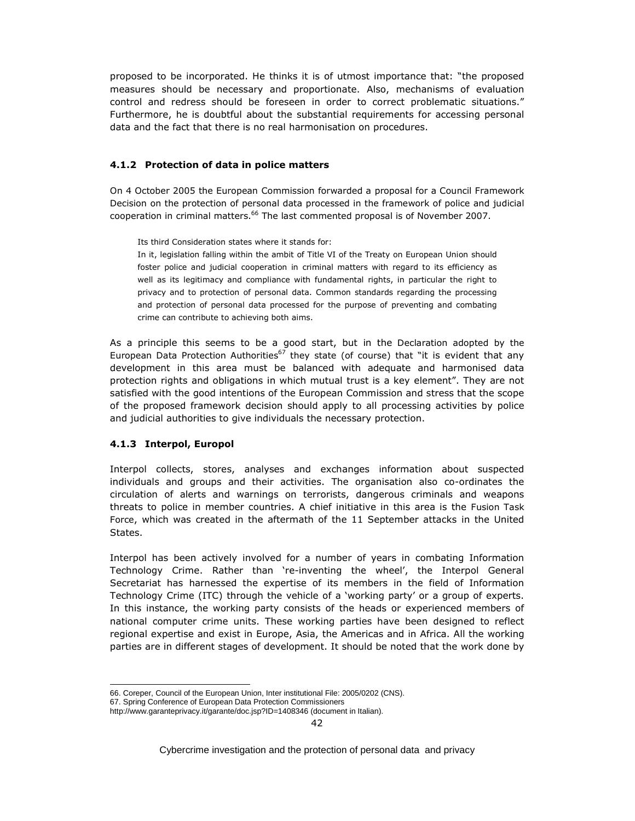proposed to be incorporated. He thinks it is of utmost importance that: "the proposed measures should be necessary and proportionate. Also, mechanisms of evaluation control and redress should be foreseen in order to correct problematic situations." Furthermore, he is doubtful about the substantial requirements for accessing personal data and the fact that there is no real harmonisation on procedures.

## 4.1.2 Protection of data in police matters

On 4 October 2005 the European Commission forwarded a proposal for a Council Framework Decision on the protection of personal data processed in the framework of police and judicial cooperation in criminal matters.<sup>66</sup> The last commented proposal is of November 2007.

Its third Consideration states where it stands for:

In it, legislation falling within the ambit of Title VI of the Treaty on European Union should foster police and judicial cooperation in criminal matters with regard to its efficiency as well as its legitimacy and compliance with fundamental rights, in particular the right to privacy and to protection of personal data. Common standards regarding the processing and protection of personal data processed for the purpose of preventing and combating crime can contribute to achieving both aims.

As a principle this seems to be a good start, but in the Declaration adopted by the European Data Protection Authorities<sup>67</sup> they state (of course) that "it is evident that any development in this area must be balanced with adequate and harmonised data protection rights and obligations in which mutual trust is a key element". They are not satisfied with the good intentions of the European Commission and stress that the scope of the proposed framework decision should apply to all processing activities by police and judicial authorities to give individuals the necessary protection.

### 4.1.3 Interpol, Europol

Interpol collects, stores, analyses and exchanges information about suspected individuals and groups and their activities. The organisation also co-ordinates the circulation of alerts and warnings on terrorists, dangerous criminals and weapons threats to police in member countries. A chief initiative in this area is the Fusion Task Force, which was created in the aftermath of the 11 September attacks in the United States.

Interpol has been actively involved for a number of years in combating Information Technology Crime. Rather than 're-inventing the wheel', the Interpol General Secretariat has harnessed the expertise of its members in the field of Information Technology Crime (ITC) through the vehicle of a 'working party' or a group of experts. In this instance, the working party consists of the heads or experienced members of national computer crime units. These working parties have been designed to reflect regional expertise and exist in Europe, Asia, the Americas and in Africa. All the working parties are in different stages of development. It should be noted that the work done by

i, 66. Coreper, Council of the European Union, Inter institutional File: 2005/0202 (CNS).

<sup>67.</sup> Spring Conference of European Data Protection Commissioners

http://www.garanteprivacy.it/garante/doc.jsp?ID=1408346 (document in Italian).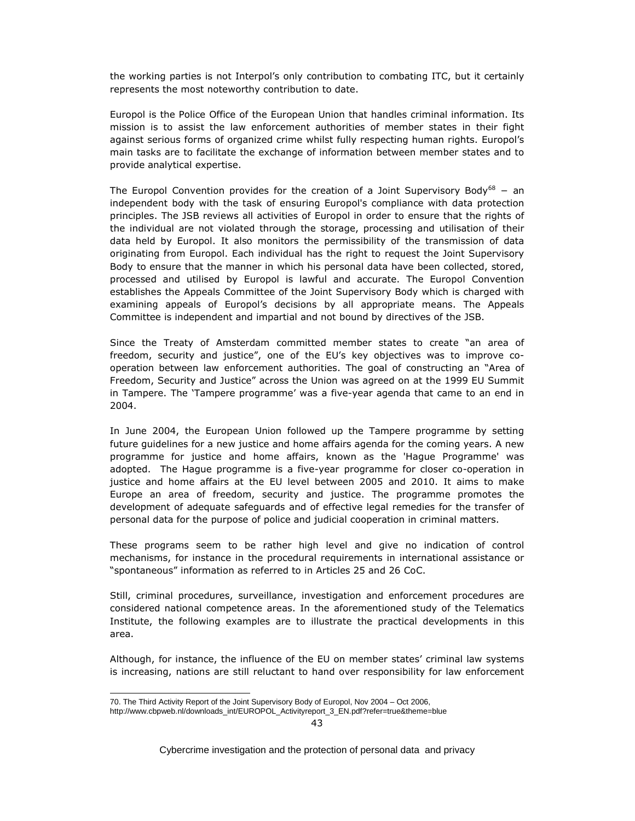the working parties is not Interpol's only contribution to combating ITC, but it certainly represents the most noteworthy contribution to date.

Europol is the Police Office of the European Union that handles criminal information. Its mission is to assist the law enforcement authorities of member states in their fight against serious forms of organized crime whilst fully respecting human rights. Europol's main tasks are to facilitate the exchange of information between member states and to provide analytical expertise.

The Europol Convention provides for the creation of a Joint Supervisory Body<sup>68</sup> − an independent body with the task of ensuring Europol's compliance with data protection principles. The JSB reviews all activities of Europol in order to ensure that the rights of the individual are not violated through the storage, processing and utilisation of their data held by Europol. It also monitors the permissibility of the transmission of data originating from Europol. Each individual has the right to request the Joint Supervisory Body to ensure that the manner in which his personal data have been collected, stored, processed and utilised by Europol is lawful and accurate. The Europol Convention establishes the Appeals Committee of the Joint Supervisory Body which is charged with examining appeals of Europol's decisions by all appropriate means. The Appeals Committee is independent and impartial and not bound by directives of the JSB.

Since the Treaty of Amsterdam committed member states to create "an area of freedom, security and justice", one of the EU's key objectives was to improve cooperation between law enforcement authorities. The goal of constructing an "Area of Freedom, Security and Justice" across the Union was agreed on at the 1999 EU Summit in Tampere. The 'Tampere programme' was a five-year agenda that came to an end in 2004.

In June 2004, the European Union followed up the Tampere programme by setting future guidelines for a new justice and home affairs agenda for the coming years. A new programme for justice and home affairs, known as the 'Hague Programme' was adopted. The Hague programme is a five-year programme for closer co-operation in justice and home affairs at the EU level between 2005 and 2010. It aims to make Europe an area of freedom, security and justice. The programme promotes the development of adequate safeguards and of effective legal remedies for the transfer of personal data for the purpose of police and judicial cooperation in criminal matters.

These programs seem to be rather high level and give no indication of control mechanisms, for instance in the procedural requirements in international assistance or "spontaneous" information as referred to in Articles 25 and 26 CoC.

Still, criminal procedures, surveillance, investigation and enforcement procedures are considered national competence areas. In the aforementioned study of the Telematics Institute, the following examples are to illustrate the practical developments in this area.

Although, for instance, the influence of the EU on member states' criminal law systems is increasing, nations are still reluctant to hand over responsibility for law enforcement

i, 70. The Third Activity Report of the Joint Supervisory Body of Europol, Nov 2004 – Oct 2006,

http://www.cbpweb.nl/downloads\_int/EUROPOL\_Activityreport\_3\_EN.pdf?refer=true&theme=blue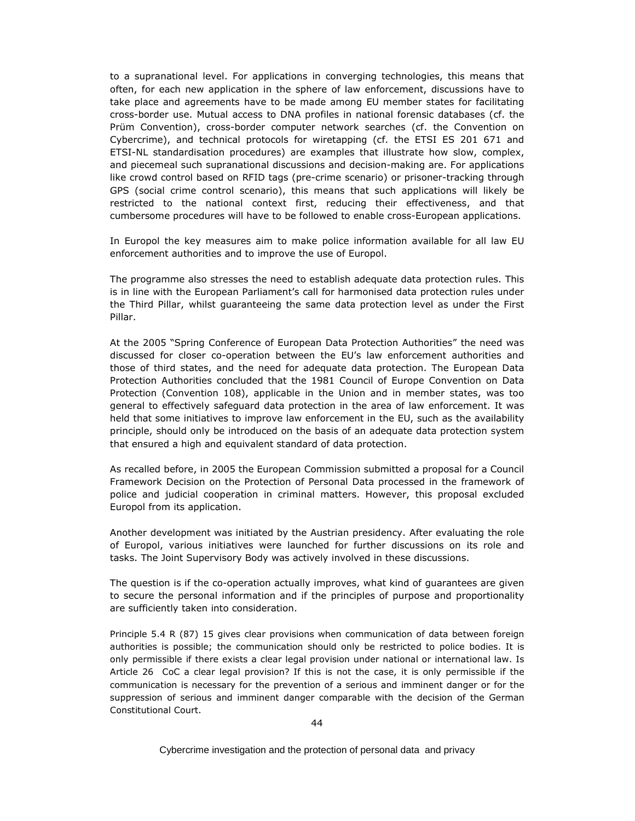to a supranational level. For applications in converging technologies, this means that often, for each new application in the sphere of law enforcement, discussions have to take place and agreements have to be made among EU member states for facilitating cross-border use. Mutual access to DNA profiles in national forensic databases (cf. the Prüm Convention), cross-border computer network searches (cf. the Convention on Cybercrime), and technical protocols for wiretapping (cf. the ETSI ES 201 671 and ETSI-NL standardisation procedures) are examples that illustrate how slow, complex, and piecemeal such supranational discussions and decision-making are. For applications like crowd control based on RFID tags (pre-crime scenario) or prisoner-tracking through GPS (social crime control scenario), this means that such applications will likely be restricted to the national context first, reducing their effectiveness, and that cumbersome procedures will have to be followed to enable cross-European applications.

In Europol the key measures aim to make police information available for all law EU enforcement authorities and to improve the use of Europol.

The programme also stresses the need to establish adequate data protection rules. This is in line with the European Parliament's call for harmonised data protection rules under the Third Pillar, whilst guaranteeing the same data protection level as under the First Pillar.

At the 2005 "Spring Conference of European Data Protection Authorities" the need was discussed for closer co-operation between the EU's law enforcement authorities and those of third states, and the need for adequate data protection. The European Data Protection Authorities concluded that the 1981 Council of Europe Convention on Data Protection (Convention 108), applicable in the Union and in member states, was too general to effectively safeguard data protection in the area of law enforcement. It was held that some initiatives to improve law enforcement in the EU, such as the availability principle, should only be introduced on the basis of an adequate data protection system that ensured a high and equivalent standard of data protection.

As recalled before, in 2005 the European Commission submitted a proposal for a Council Framework Decision on the Protection of Personal Data processed in the framework of police and judicial cooperation in criminal matters. However, this proposal excluded Europol from its application.

Another development was initiated by the Austrian presidency. After evaluating the role of Europol, various initiatives were launched for further discussions on its role and tasks. The Joint Supervisory Body was actively involved in these discussions.

The question is if the co-operation actually improves, what kind of guarantees are given to secure the personal information and if the principles of purpose and proportionality are sufficiently taken into consideration.

Principle 5.4 R (87) 15 gives clear provisions when communication of data between foreign authorities is possible; the communication should only be restricted to police bodies. It is only permissible if there exists a clear legal provision under national or international law. Is Article 26 CoC a clear legal provision? If this is not the case, it is only permissible if the communication is necessary for the prevention of a serious and imminent danger or for the suppression of serious and imminent danger comparable with the decision of the German Constitutional Court.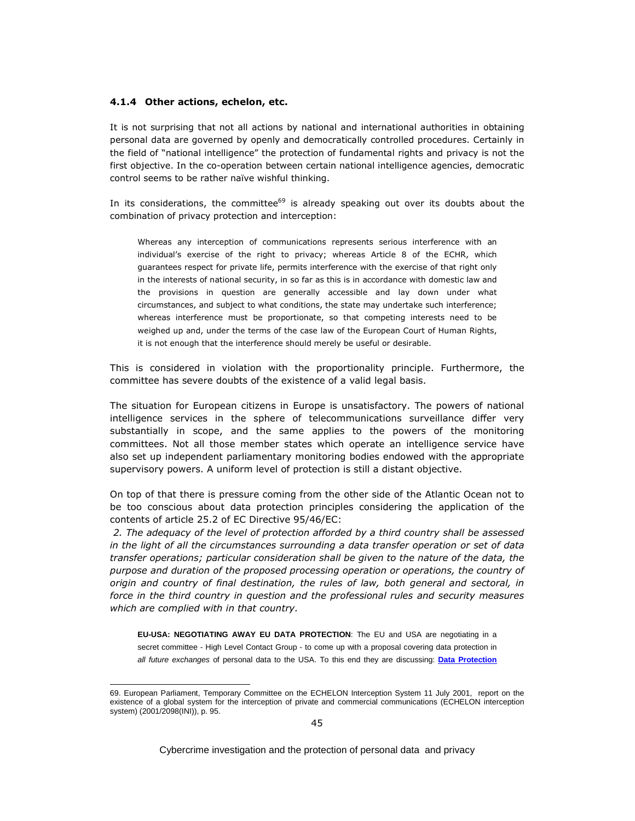### 4.1.4 Other actions, echelon, etc.

It is not surprising that not all actions by national and international authorities in obtaining personal data are governed by openly and democratically controlled procedures. Certainly in the field of "national intelligence" the protection of fundamental rights and privacy is not the first objective. In the co-operation between certain national intelligence agencies, democratic control seems to be rather naïve wishful thinking.

In its considerations, the committee $69$  is already speaking out over its doubts about the combination of privacy protection and interception:

Whereas any interception of communications represents serious interference with an individual's exercise of the right to privacy; whereas Article 8 of the ECHR, which guarantees respect for private life, permits interference with the exercise of that right only in the interests of national security, in so far as this is in accordance with domestic law and the provisions in question are generally accessible and lay down under what circumstances, and subject to what conditions, the state may undertake such interference; whereas interference must be proportionate, so that competing interests need to be weighed up and, under the terms of the case law of the European Court of Human Rights, it is not enough that the interference should merely be useful or desirable.

This is considered in violation with the proportionality principle. Furthermore, the committee has severe doubts of the existence of a valid legal basis.

The situation for European citizens in Europe is unsatisfactory. The powers of national intelligence services in the sphere of telecommunications surveillance differ very substantially in scope, and the same applies to the powers of the monitoring committees. Not all those member states which operate an intelligence service have also set up independent parliamentary monitoring bodies endowed with the appropriate supervisory powers. A uniform level of protection is still a distant objective.

On top of that there is pressure coming from the other side of the Atlantic Ocean not to be too conscious about data protection principles considering the application of the contents of article 25.2 of EC Directive 95/46/EC:

2. The adequacy of the level of protection afforded by a third country shall be assessed in the light of all the circumstances surrounding a data transfer operation or set of data transfer operations; particular consideration shall be given to the nature of the data, the purpose and duration of the proposed processing operation or operations, the country of origin and country of final destination, the rules of law, both general and sectoral, in force in the third country in question and the professional rules and security measures which are complied with in that country.

**EU-USA: NEGOTIATING AWAY EU DATA PROTECTION**: The EU and USA are negotiating in a secret committee - High Level Contact Group - to come up with a proposal covering data protection in all future exchanges of personal data to the USA. To this end they are discussing: **Data Protection** 

i, 69. European Parliament, Temporary Committee on the ECHELON Interception System 11 July 2001, report on the existence of a global system for the interception of private and commercial communications (ECHELON interception system) (2001/2098(INI)), p. 95.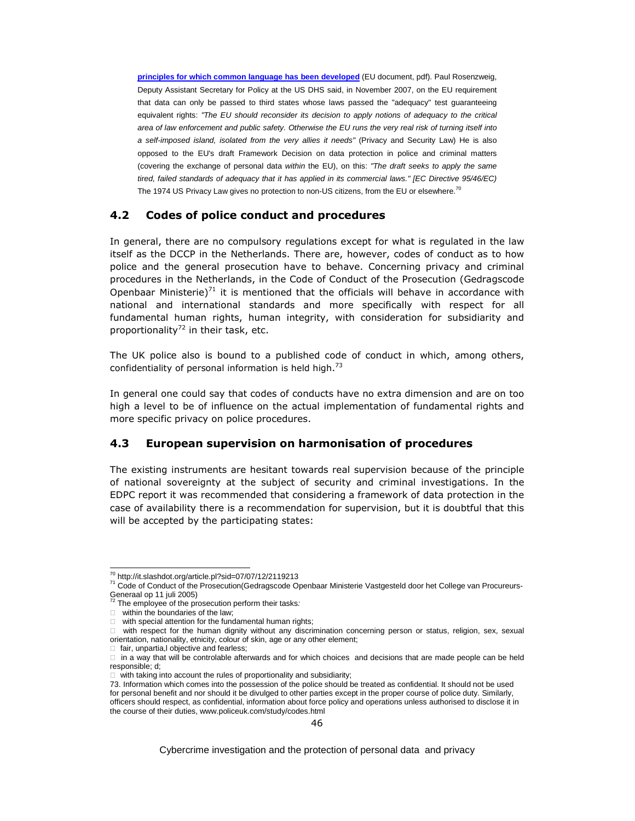**principles for which common language has been developed** (EU document, pdf). Paul Rosenzweig, Deputy Assistant Secretary for Policy at the US DHS said, in November 2007, on the EU requirement that data can only be passed to third states whose laws passed the "adequacy" test guaranteeing equivalent rights: "The EU should reconsider its decision to apply notions of adequacy to the critical area of law enforcement and public safety. Otherwise the EU runs the very real risk of turning itself into a self-imposed island, isolated from the very allies it needs" (Privacy and Security Law) He is also opposed to the EU's draft Framework Decision on data protection in police and criminal matters (covering the exchange of personal data within the EU), on this: "The draft seeks to apply the same tired, failed standards of adequacy that it has applied in its commercial laws." [EC Directive 95/46/EC) The 1974 US Privacy Law gives no protection to non-US citizens, from the EU or elsewhere.<sup>70</sup>

# 4.2 Codes of police conduct and procedures

In general, there are no compulsory regulations except for what is regulated in the law itself as the DCCP in the Netherlands. There are, however, codes of conduct as to how police and the general prosecution have to behave. Concerning privacy and criminal procedures in the Netherlands, in the Code of Conduct of the Prosecution (Gedragscode Openbaar Ministerie)<sup>71</sup> it is mentioned that the officials will behave in accordance with national and international standards and more specifically with respect for all fundamental human rights, human integrity, with consideration for subsidiarity and proportionality<sup>72</sup> in their task, etc.

The UK police also is bound to a published code of conduct in which, among others, confidentiality of personal information is held high.<sup>73</sup>

In general one could say that codes of conducts have no extra dimension and are on too high a level to be of influence on the actual implementation of fundamental rights and more specific privacy on police procedures.

# 4.3 European supervision on harmonisation of procedures

The existing instruments are hesitant towards real supervision because of the principle of national sovereignty at the subject of security and criminal investigations. In the EDPC report it was recommended that considering a framework of data protection in the case of availability there is a recommendation for supervision, but it is doubtful that this will be accepted by the participating states:

officers should respect, as confidential, information about force policy and operations unless authorised to disclose it in the course of their duties, www.policeuk.com/study/codes.html

i,  $70$  http://it.slashdot.org/article.pl?sid=07/07/12/2119213

<sup>71</sup> Code of Conduct of the Prosecution(Gedragscode Openbaar Ministerie Vastgesteld door het College van Procureurs-Generaal op 11 juli 2005)

The employee of the prosecution perform their tasks:

within the boundaries of the law;

with special attention for the fundamental human rights;

with respect for the human dignity without any discrimination concerning person or status, religion, sex, sexual orientation, nationality, etnicity, colour of skin, age or any other element;

fair, unpartia,l objective and fearless;

in a way that will be controlable afterwards and for which choices and decisions that are made people can be held responsible; d;

with taking into account the rules of proportionality and subsidiarity;

<sup>73.</sup> Information which comes into the possession of the police should be treated as confidential. It should not be used for personal benefit and nor should it be divulged to other parties except in the proper course of police duty. Similarly,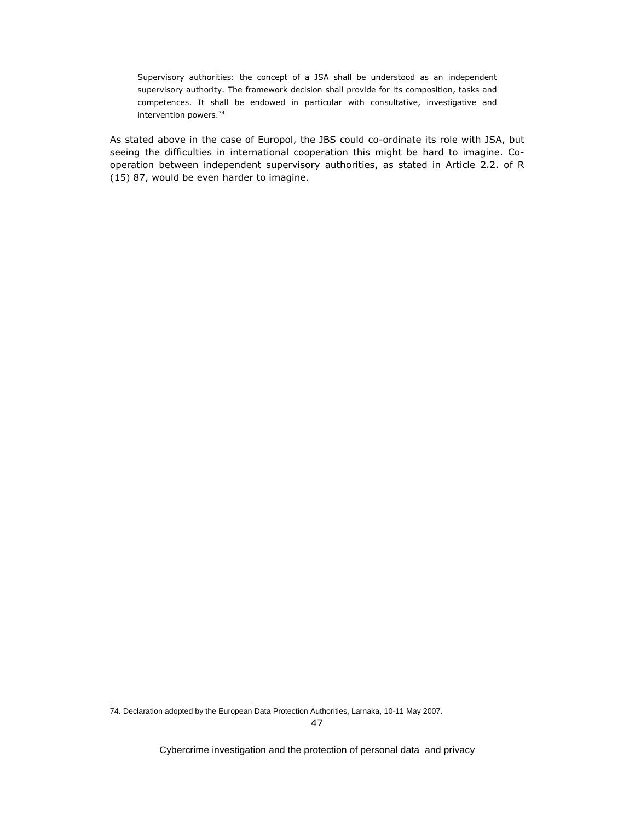Supervisory authorities: the concept of a JSA shall be understood as an independent supervisory authority. The framework decision shall provide for its composition, tasks and competences. It shall be endowed in particular with consultative, investigative and intervention powers.<sup>74</sup>

As stated above in the case of Europol, the JBS could co-ordinate its role with JSA, but seeing the difficulties in international cooperation this might be hard to imagine. Cooperation between independent supervisory authorities, as stated in Article 2.2. of R (15) 87, would be even harder to imagine.

i, 74. Declaration adopted by the European Data Protection Authorities, Larnaka, 10-11 May 2007.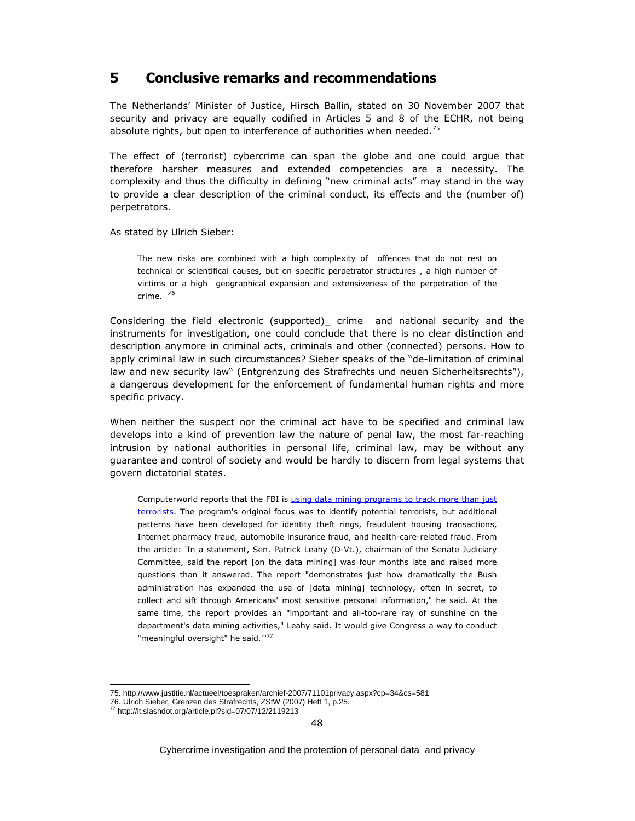# 5 Conclusive remarks and recommendations

The Netherlands' Minister of Justice, Hirsch Ballin, stated on 30 November 2007 that security and privacy are equally codified in Articles 5 and 8 of the ECHR, not being absolute rights, but open to interference of authorities when needed. $75$ 

The effect of (terrorist) cybercrime can span the globe and one could argue that therefore harsher measures and extended competencies are a necessity. The complexity and thus the difficulty in defining "new criminal acts" may stand in the way to provide a clear description of the criminal conduct, its effects and the (number of) perpetrators.

As stated by Ulrich Sieber:

The new risks are combined with a high complexity of offences that do not rest on technical or scientifical causes, but on specific perpetrator structures , a high number of victims or a high geographical expansion and extensiveness of the perpetration of the crime.  $76$ 

Considering the field electronic (supported)\_ crime and national security and the instruments for investigation, one could conclude that there is no clear distinction and description anymore in criminal acts, criminals and other (connected) persons. How to apply criminal law in such circumstances? Sieber speaks of the "de-limitation of criminal law and new security law" (Entgrenzung des Strafrechts und neuen Sicherheitsrechts"), a dangerous development for the enforcement of fundamental human rights and more specific privacy.

When neither the suspect nor the criminal act have to be specified and criminal law develops into a kind of prevention law the nature of penal law, the most far-reaching intrusion by national authorities in personal life, criminal law, may be without any guarantee and control of society and would be hardly to discern from legal systems that govern dictatorial states.

Computerworld reports that the FBI is using data mining programs to track more than just terrorists. The program's original focus was to identify potential terrorists, but additional patterns have been developed for identity theft rings, fraudulent housing transactions, Internet pharmacy fraud, automobile insurance fraud, and health-care-related fraud. From the article: 'In a statement, Sen. Patrick Leahy (D-Vt.), chairman of the Senate Judiciary Committee, said the report [on the data mining] was four months late and raised more questions than it answered. The report "demonstrates just how dramatically the Bush administration has expanded the use of [data mining] technology, often in secret, to collect and sift through Americans' most sensitive personal information," he said. At the same time, the report provides an "important and all-too-rare ray of sunshine on the department's data mining activities," Leahy said. It would give Congress a way to conduct "meaningful oversight" he said."<sup>77</sup>

i,

<sup>75.</sup> http://www.justitie.nl/actueel/toespraken/archief-2007/71101privacy.aspx?cp=34&cs=581

<sup>76.</sup> Ulrich Sieber, Grenzen des Strafrechts, ZStW (2007) Heft 1, p.25.

http://it.slashdot.org/article.pl?sid=07/07/12/2119213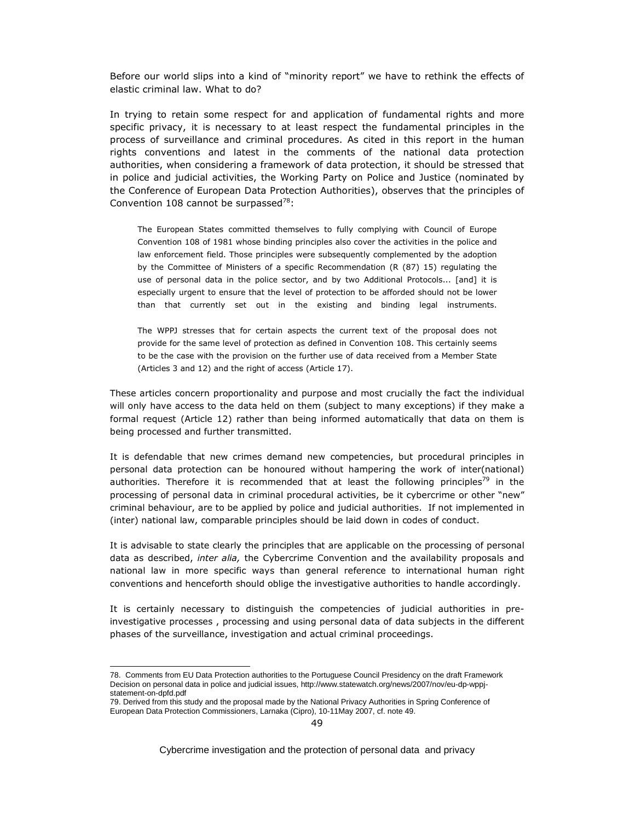Before our world slips into a kind of "minority report" we have to rethink the effects of elastic criminal law. What to do?

In trying to retain some respect for and application of fundamental rights and more specific privacy, it is necessary to at least respect the fundamental principles in the process of surveillance and criminal procedures. As cited in this report in the human rights conventions and latest in the comments of the national data protection authorities, when considering a framework of data protection, it should be stressed that in police and judicial activities, the Working Party on Police and Justice (nominated by the Conference of European Data Protection Authorities), observes that the principles of Convention 108 cannot be surpassed $^{78}$ :

The European States committed themselves to fully complying with Council of Europe Convention 108 of 1981 whose binding principles also cover the activities in the police and law enforcement field. Those principles were subsequently complemented by the adoption by the Committee of Ministers of a specific Recommendation (R (87) 15) regulating the use of personal data in the police sector, and by two Additional Protocols... [and] it is especially urgent to ensure that the level of protection to be afforded should not be lower than that currently set out in the existing and binding legal instruments.

The WPPJ stresses that for certain aspects the current text of the proposal does not provide for the same level of protection as defined in Convention 108. This certainly seems to be the case with the provision on the further use of data received from a Member State (Articles 3 and 12) and the right of access (Article 17).

These articles concern proportionality and purpose and most crucially the fact the individual will only have access to the data held on them (subject to many exceptions) if they make a formal request (Article 12) rather than being informed automatically that data on them is being processed and further transmitted.

It is defendable that new crimes demand new competencies, but procedural principles in personal data protection can be honoured without hampering the work of inter(national) authorities. Therefore it is recommended that at least the following principles<sup>79</sup> in the processing of personal data in criminal procedural activities, be it cybercrime or other "new" criminal behaviour, are to be applied by police and judicial authorities. If not implemented in (inter) national law, comparable principles should be laid down in codes of conduct.

It is advisable to state clearly the principles that are applicable on the processing of personal data as described, inter alia, the Cybercrime Convention and the availability proposals and national law in more specific ways than general reference to international human right conventions and henceforth should oblige the investigative authorities to handle accordingly.

It is certainly necessary to distinguish the competencies of judicial authorities in preinvestigative processes , processing and using personal data of data subjects in the different phases of the surveillance, investigation and actual criminal proceedings.

i,

<sup>78.</sup> Comments from EU Data Protection authorities to the Portuguese Council Presidency on the draft Framework Decision on personal data in police and judicial issues, http://www.statewatch.org/news/2007/nov/eu-dp-wppjstatement-on-dpfd.pdf

<sup>79.</sup> Derived from this study and the proposal made by the National Privacy Authorities in Spring Conference of European Data Protection Commissioners, Larnaka (Cipro), 10-11May 2007, cf. note 49.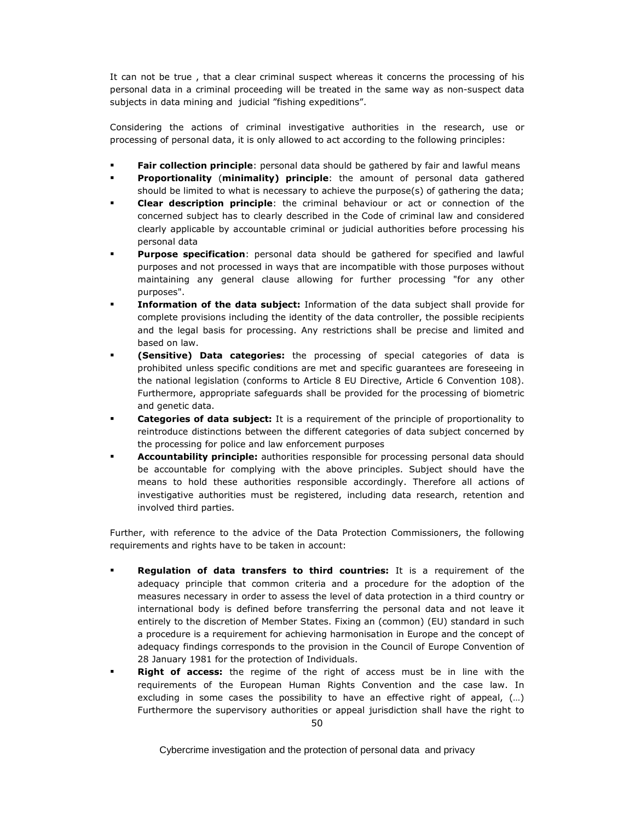It can not be true , that a clear criminal suspect whereas it concerns the processing of his personal data in a criminal proceeding will be treated in the same way as non-suspect data subjects in data mining and judicial "fishing expeditions".

Considering the actions of criminal investigative authorities in the research, use or processing of personal data, it is only allowed to act according to the following principles:

- Fair collection principle: personal data should be gathered by fair and lawful means
- **Proportionality (minimality) principle:** the amount of personal data gathered should be limited to what is necessary to achieve the purpose(s) of gathering the data;
- Clear description principle: the criminal behaviour or act or connection of the concerned subject has to clearly described in the Code of criminal law and considered clearly applicable by accountable criminal or judicial authorities before processing his personal data
- **Purpose specification**: personal data should be gathered for specified and lawful purposes and not processed in ways that are incompatible with those purposes without maintaining any general clause allowing for further processing "for any other purposes".
- Information of the data subject: Information of the data subject shall provide for complete provisions including the identity of the data controller, the possible recipients and the legal basis for processing. Any restrictions shall be precise and limited and based on law.
- **(Sensitive) Data categories:** the processing of special categories of data is prohibited unless specific conditions are met and specific guarantees are foreseeing in the national legislation (conforms to Article 8 EU Directive, Article 6 Convention 108). Furthermore, appropriate safeguards shall be provided for the processing of biometric and genetic data.
- Categories of data subject: It is a requirement of the principle of proportionality to reintroduce distinctions between the different categories of data subject concerned by the processing for police and law enforcement purposes
- Accountability principle: authorities responsible for processing personal data should be accountable for complying with the above principles. Subject should have the means to hold these authorities responsible accordingly. Therefore all actions of investigative authorities must be registered, including data research, retention and involved third parties.

Further, with reference to the advice of the Data Protection Commissioners, the following requirements and rights have to be taken in account:

- Regulation of data transfers to third countries: It is a requirement of the adequacy principle that common criteria and a procedure for the adoption of the measures necessary in order to assess the level of data protection in a third country or international body is defined before transferring the personal data and not leave it entirely to the discretion of Member States. Fixing an (common) (EU) standard in such a procedure is a requirement for achieving harmonisation in Europe and the concept of adequacy findings corresponds to the provision in the Council of Europe Convention of 28 January 1981 for the protection of Individuals.
- Right of access: the regime of the right of access must be in line with the requirements of the European Human Rights Convention and the case law. In excluding in some cases the possibility to have an effective right of appeal, (…) Furthermore the supervisory authorities or appeal jurisdiction shall have the right to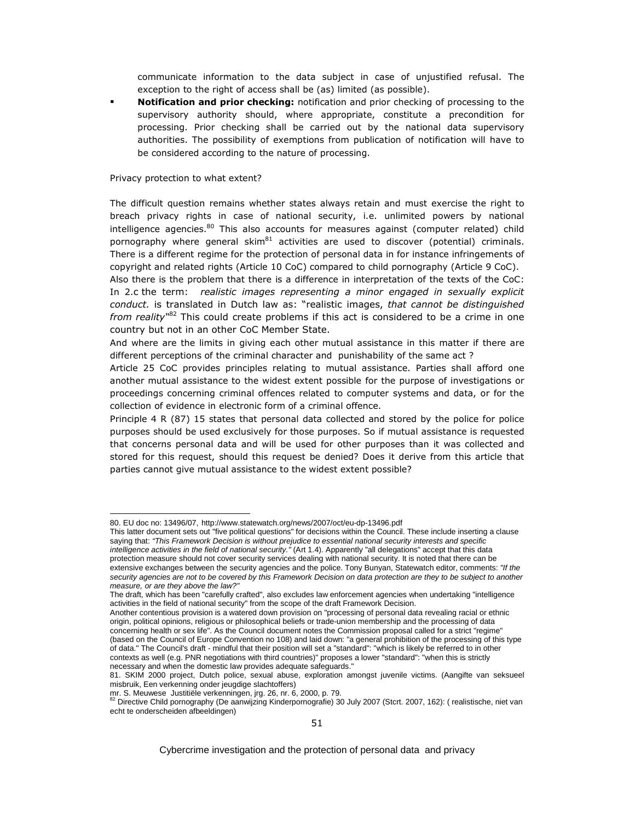communicate information to the data subject in case of unjustified refusal. The exception to the right of access shall be (as) limited (as possible).

Notification and prior checking: notification and prior checking of processing to the supervisory authority should, where appropriate, constitute a precondition for processing. Prior checking shall be carried out by the national data supervisory authorities. The possibility of exemptions from publication of notification will have to be considered according to the nature of processing.

#### Privacy protection to what extent?

The difficult question remains whether states always retain and must exercise the right to breach privacy rights in case of national security, i.e. unlimited powers by national intelligence agencies.<sup>80</sup> This also accounts for measures against (computer related) child pornography where general skim $^{81}$  activities are used to discover (potential) criminals. There is a different regime for the protection of personal data in for instance infringements of copyright and related rights (Article 10 CoC) compared to child pornography (Article 9 CoC).

Also there is the problem that there is a difference in interpretation of the texts of the CoC: In 2.c the term: realistic images representing a minor engaged in sexually explicit conduct. is translated in Dutch law as: "realistic images, that cannot be distinguished *from reality*<sup>82</sup> This could create problems if this act is considered to be a crime in one country but not in an other CoC Member State.

And where are the limits in giving each other mutual assistance in this matter if there are different perceptions of the criminal character and punishability of the same act ?

Article 25 CoC provides principles relating to mutual assistance. Parties shall afford one another mutual assistance to the widest extent possible for the purpose of investigations or proceedings concerning criminal offences related to computer systems and data, or for the collection of evidence in electronic form of a criminal offence.

Principle 4 R (87) 15 states that personal data collected and stored by the police for police purposes should be used exclusively for those purposes. So if mutual assistance is requested that concerns personal data and will be used for other purposes than it was collected and stored for this request, should this request be denied? Does it derive from this article that parties cannot give mutual assistance to the widest extent possible?

<sup>-</sup>80. EU doc no: 13496/07, http://www.statewatch.org/news/2007/oct/eu-dp-13496.pdf

This latter document sets out "five political questions" for decisions within the Council. These include inserting a clause saying that: "This Framework Decision is without prejudice to essential national security interests and specific intelligence activities in the field of national security." (Art 1.4). Apparently "all delegations" accept that this data protection measure should not cover security services dealing with national security. It is noted that there can be extensive exchanges between the security agencies and the police. Tony Bunyan, Statewatch editor, comments: "If the security agencies are not to be covered by this Framework Decision on data protection are they to be subject to another measure, or are they above the law?"

The draft, which has been "carefully crafted", also excludes law enforcement agencies when undertaking "intelligence activities in the field of national security" from the scope of the draft Framework Decision.

Another contentious provision is a watered down provision on "processing of personal data revealing racial or ethnic origin, political opinions, religious or philosophical beliefs or trade-union membership and the processing of data concerning health or sex life". As the Council document notes the Commission proposal called for a strict "regime" (based on the Council of Europe Convention no 108) and laid down: "a general prohibition of the processing of this type of data." The Council's draft - mindful that their position will set a "standard": "which is likely be referred to in other contexts as well (e.g. PNR negotiations with third countries)" proposes a lower "standard": "when this is strictly necessary and when the domestic law provides adequate safeguards."

<sup>81.</sup> SKIM 2000 project, Dutch police, sexual abuse, exploration amongst juvenile victims. (Aangifte van seksueel misbruik, Een verkenning onder jeugdige slachtoffers)

mr. S. Meuwese Justitiële verkenningen, jrg. 26, nr. 6, 2000, p. 79.

<sup>882</sup> Directive Child pornography (De aanwijzing Kinderpornografie) 30 July 2007 (Stcrt. 2007, 162): ( realistische, niet van echt te onderscheiden afbeeldingen)